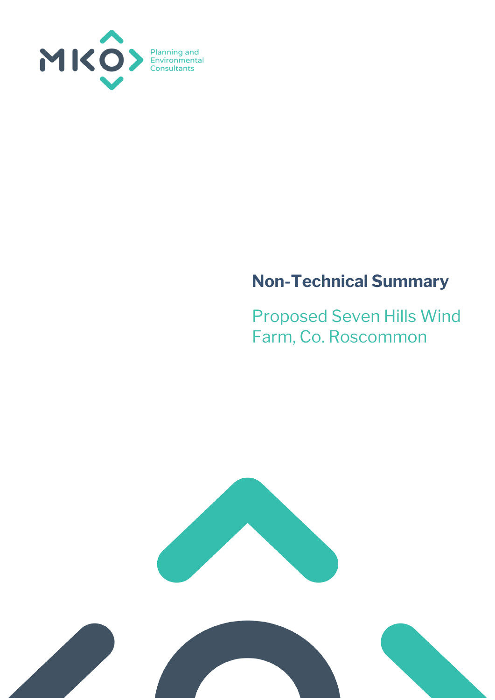

# **Non-Technical Summary**

Proposed Seven Hills Wind Farm, Co. Roscommon

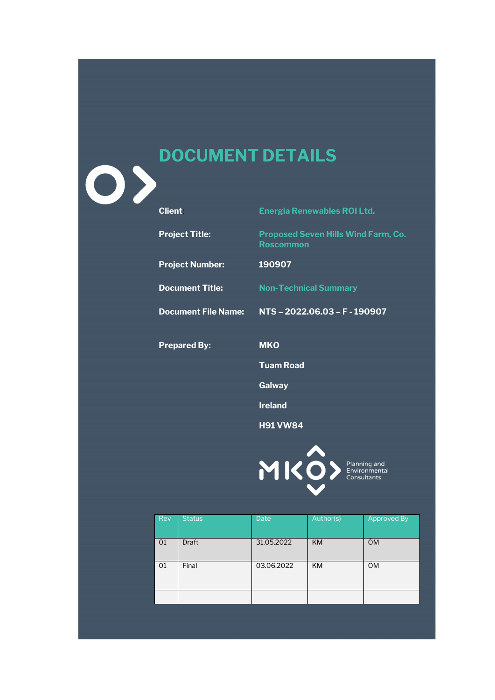# **DOCUMENT DETAILS**

| <b>Client</b>              | <b>Energia Renewables ROI Ltd.</b>                             |
|----------------------------|----------------------------------------------------------------|
| <b>Project Title:</b>      | <b>Proposed Seven Hills Wind Farm, Co.</b><br><b>Roscommon</b> |
| <b>Project Number:</b>     | 190907                                                         |
| <b>Document Title:</b>     | <b>Non-Technical Summary</b>                                   |
| <b>Document File Name:</b> | NTS-2022.06.03-F-190907                                        |
| <b>Prepared By:</b>        | <b>MKO</b>                                                     |
|                            | <b>Tuam Road</b>                                               |
|                            | Galway                                                         |
|                            | <b>Ireland</b>                                                 |
|                            | <b>H91 VW84</b>                                                |
|                            |                                                                |
|                            | MICO> Planning and                                             |

Rev Status Date Author(s) Approved By 01 Draft 31.05.2022 KM ÓM 01 Final 03.06.2022 KM ÓM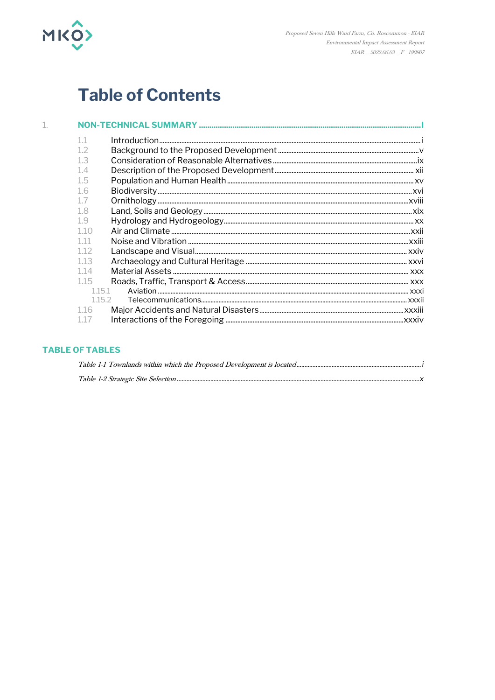

# **Table of Contents**

| 112    |  |
|--------|--|
| 113    |  |
| 114    |  |
| 115    |  |
| 1.15.1 |  |
| 1152   |  |
| 1.16   |  |
|        |  |

## **TABLE OF TABLES**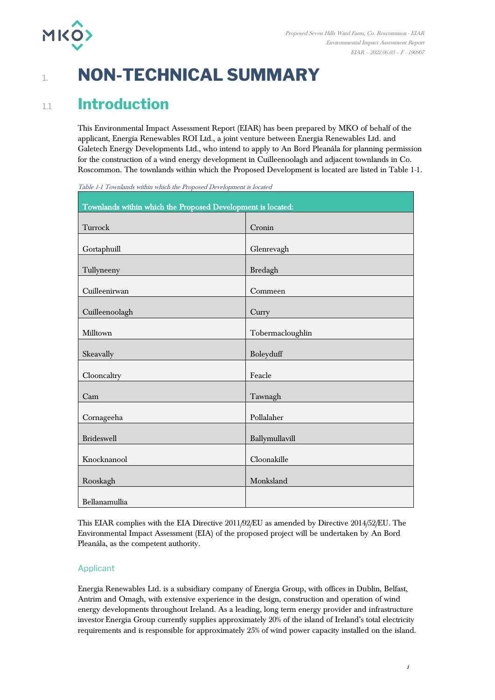

# 1. **NON-TECHNICAL SUMMARY**

## 1.1 **Introduction**

This Environmental Impact Assessment Report (EIAR) has been prepared by MKO of behalf of the applicant, Energia Renewables ROI Ltd., a joint venture between Energia Renewables Ltd. and Galetech Energy Developments Ltd., who intend to apply to An Bord Pleanála for planning permission for the construction of a wind energy development in Cuilleenoolagh and adjacent townlands in Co. Roscommon. The townlands within which the Proposed Development is located are listed in Table 1-1.

| Townlands within which the Proposed Development is located: |                  |  |
|-------------------------------------------------------------|------------------|--|
| Turrock                                                     | Cronin           |  |
| Gortaphuill                                                 | Glenrevagh       |  |
| Tullyneeny                                                  | Bredagh          |  |
| Cuilleenirwan                                               | Commeen          |  |
| Cuilleenoolagh                                              | Curry            |  |
| Milltown                                                    | Tobermacloughlin |  |
| Skeavally                                                   | Boleyduff        |  |
| Clooncaltry                                                 | Feacle           |  |
| Cam                                                         | Tawnagh          |  |
| Cornageeha                                                  | Pollalaher       |  |
| <b>Brideswell</b>                                           | Ballymullavill   |  |
| Knocknanool                                                 | Cloonakille      |  |
| Rooskagh                                                    | Monksland        |  |
| Bellanamullia                                               |                  |  |

<span id="page-3-0"></span>Table 1-1 Townlands within which the Proposed Development is located

This EIAR complies with the EIA Directive 2011/92/EU as amended by Directive 2014/52/EU. The Environmental Impact Assessment (EIA) of the proposed project will be undertaken by An Bord Pleanála, as the competent authority.

## Applicant

Energia Renewables Ltd. is a subsidiary company of Energia Group, with offices in Dublin, Belfast, Antrim and Omagh, with extensive experience in the design, construction and operation of wind energy developments throughout Ireland. As a leading, long term energy provider and infrastructure investor Energia Group currently supplies approximately 20% of the island of Ireland's total electricity requirements and is responsible for approximately 25% of wind power capacity installed on the island.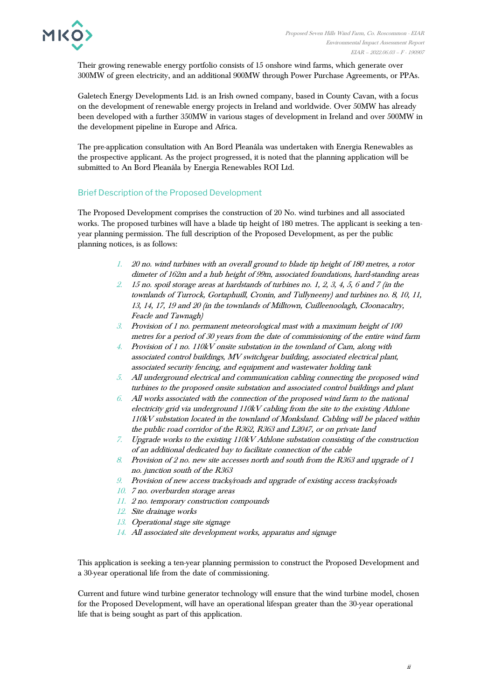

Their growing renewable energy portfolio consists of 15 onshore wind farms, which generate over 300MW of green electricity, and an additional 900MW through Power Purchase Agreements, or PPAs.

Galetech Energy Developments Ltd. is an Irish owned company, based in County Cavan, with a focus on the development of renewable energy projects in Ireland and worldwide. Over 50MW has already been developed with a further 350MW in various stages of development in Ireland and over 500MW in the development pipeline in Europe and Africa.

The pre-application consultation with An Bord Pleanála was undertaken with Energia Renewables as the prospective applicant. As the project progressed, it is noted that the planning application will be submitted to An Bord Pleanála by Energia Renewables ROI Ltd.

## Brief Description of the Proposed Development

The Proposed Development comprises the construction of 20 No. wind turbines and all associated works. The proposed turbines will have a blade tip height of 180 metres. The applicant is seeking a tenyear planning permission. The full description of the Proposed Development, as per the public planning notices, is as follows:

- 1. 20 no. wind turbines with an overall ground to blade tip height of 180 metres, a rotor dimeter of 162m and a hub height of 99m, associated foundations, hard-standing areas
- 2. 15 no. spoil storage areas at hardstands of turbines no. 1, 2, 3, 4, 5, 6 and 7 (in the townlands of Turrock, Gortaphuill, Cronin, and Tullyneeny) and turbines no. 8, 10, 11, 13, 14, 17, 19 and 20 (in the townlands of Milltown, Cuilleenoolagh, Cloonacaltry, Feacle and Tawnagh)
- 3. Provision of 1 no. permanent meteorological mast with a maximum height of 100 metres for a period of 30 years from the date of commissioning of the entire wind farm
- 4. Provision of 1 no. 110kV onsite substation in the townland of Cam, along with associated control buildings, MV switchgear building, associated electrical plant, associated security fencing, and equipment and wastewater holding tank
- 5. All underground electrical and communication cabling connecting the proposed wind turbines to the proposed onsite substation and associated control buildings and plant
- $6.$  All works associated with the connection of the proposed wind farm to the national electricity grid via underground 110kV cabling from the site to the existing Athlone 110kV substation located in the townland of Monksland. Cabling will be placed within the public road corridor of the R362, R363 and L2047, or on private land
- 7. Upgrade works to the existing 110kV Athlone substation consisting of the construction of an additional dedicated bay to facilitate connection of the cable
- 8. Provision of 2 no. new site accesses north and south from the R363 and upgrade of 1 no. junction south of the R363
- 9. Provision of new access tracks/roads and upgrade of existing access tracks/roads
- 10. 7 no. overburden storage areas
- 11. 2 no. temporary construction compounds
- 12. Site drainage works
- 13. Operational stage site signage
- 14. All associated site development works, apparatus and signage

This application is seeking a ten-year planning permission to construct the Proposed Development and a 30-year operational life from the date of commissioning.

Current and future wind turbine generator technology will ensure that the wind turbine model, chosen for the Proposed Development, will have an operational lifespan greater than the 30-year operational life that is being sought as part of this application.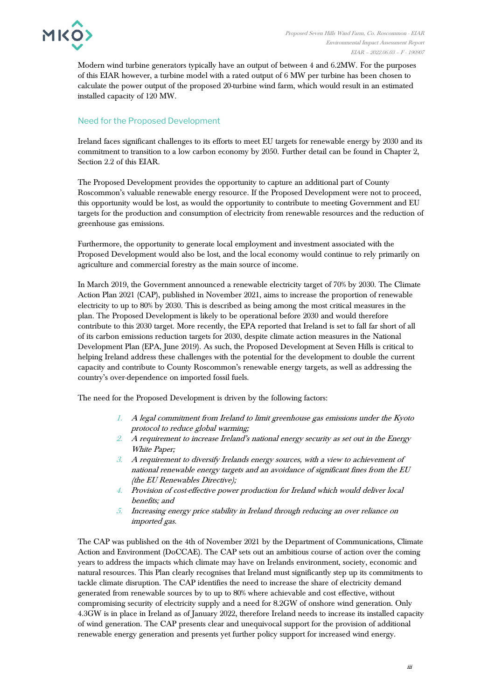

Modern wind turbine generators typically have an output of between 4 and 6.2MW. For the purposes of this EIAR however, a turbine model with a rated output of 6 MW per turbine has been chosen to calculate the power output of the proposed 20-turbine wind farm, which would result in an estimated installed capacity of 120 MW.

## Need for the Proposed Development

Ireland faces significant challenges to its efforts to meet EU targets for renewable energy by 2030 and its commitment to transition to a low carbon economy by 2050. Further detail can be found in Chapter 2, Section 2.2 of this EIAR.

The Proposed Development provides the opportunity to capture an additional part of County Roscommon's valuable renewable energy resource. If the Proposed Development were not to proceed, this opportunity would be lost, as would the opportunity to contribute to meeting Government and EU targets for the production and consumption of electricity from renewable resources and the reduction of greenhouse gas emissions.

Furthermore, the opportunity to generate local employment and investment associated with the Proposed Development would also be lost, and the local economy would continue to rely primarily on agriculture and commercial forestry as the main source of income.

In March 2019, the Government announced a renewable electricity target of 70% by 2030. The Climate Action Plan 2021 (CAP), published in November 2021, aims to increase the proportion of renewable electricity to up to 80% by 2030. This is described as being among the most critical measures in the plan. The Proposed Development is likely to be operational before 2030 and would therefore contribute to this 2030 target. More recently, the EPA reported that Ireland is set to fall far short of all of its carbon emissions reduction targets for 2030, despite climate action measures in the National Development Plan (EPA, June 2019). As such, the Proposed Development at Seven Hills is critical to helping Ireland address these challenges with the potential for the development to double the current capacity and contribute to County Roscommon's renewable energy targets, as well as addressing the country's over-dependence on imported fossil fuels.

The need for the Proposed Development is driven by the following factors:

- 1. A legal commitment from Ireland to limit greenhouse gas emissions under the Kyoto protocol to reduce global warming;
- 2. A requirement to increase Ireland's national energy security as set out in the Energy White Paper;
- 3. A requirement to diversify Irelands energy sources, with a view to achievement of national renewable energy targets and an avoidance of significant fines from the EU (the EU Renewables Directive);
- 4. Provision of cost-effective power production for Ireland which would deliver local benefits; and
- 5. Increasing energy price stability in Ireland through reducing an over reliance on imported gas.

The CAP was published on the 4th of November 2021 by the Department of Communications, Climate Action and Environment (DoCCAE). The CAP sets out an ambitious course of action over the coming years to address the impacts which climate may have on Irelands environment, society, economic and natural resources. This Plan clearly recognises that Ireland must significantly step up its commitments to tackle climate disruption. The CAP identifies the need to increase the share of electricity demand generated from renewable sources by to up to 80% where achievable and cost effective, without compromising security of electricity supply and a need for 8.2GW of onshore wind generation. Only 4.3GW is in place in Ireland as of January 2022, therefore Ireland needs to increase its installed capacity of wind generation. The CAP presents clear and unequivocal support for the provision of additional renewable energy generation and presents yet further policy support for increased wind energy.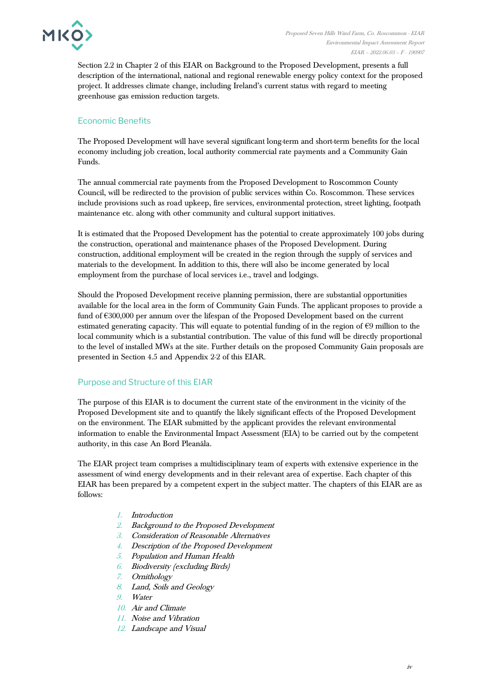

Section 2.2 in Chapter 2 of this EIAR on Background to the Proposed Development, presents a full description of the international, national and regional renewable energy policy context for the proposed project. It addresses climate change, including Ireland's current status with regard to meeting greenhouse gas emission reduction targets.

## Economic Benefits

The Proposed Development will have several significant long-term and short-term benefits for the local economy including job creation, local authority commercial rate payments and a Community Gain Funds.

The annual commercial rate payments from the Proposed Development to Roscommon County Council, will be redirected to the provision of public services within Co. Roscommon. These services include provisions such as road upkeep, fire services, environmental protection, street lighting, footpath maintenance etc. along with other community and cultural support initiatives.

It is estimated that the Proposed Development has the potential to create approximately 100 jobs during the construction, operational and maintenance phases of the Proposed Development. During construction, additional employment will be created in the region through the supply of services and materials to the development. In addition to this, there will also be income generated by local employment from the purchase of local services i.e., travel and lodgings.

Should the Proposed Development receive planning permission, there are substantial opportunities available for the local area in the form of Community Gain Funds. The applicant proposes to provide a fund of €300,000 per annum over the lifespan of the Proposed Development based on the current estimated generating capacity. This will equate to potential funding of in the region of  $\epsilon$ 9 million to the local community which is a substantial contribution. The value of this fund will be directly proportional to the level of installed MWs at the site. Further details on the proposed Community Gain proposals are presented in Section 4.5 and Appendix 2-2 of this EIAR.

## Purpose and Structure of this EIAR

The purpose of this EIAR is to document the current state of the environment in the vicinity of the Proposed Development site and to quantify the likely significant effects of the Proposed Development on the environment. The EIAR submitted by the applicant provides the relevant environmental information to enable the Environmental Impact Assessment (EIA) to be carried out by the competent authority, in this case An Bord Pleanála.

The EIAR project team comprises a multidisciplinary team of experts with extensive experience in the assessment of wind energy developments and in their relevant area of expertise. Each chapter of this EIAR has been prepared by a competent expert in the subject matter. The chapters of this EIAR are as follows:

- 1. Introduction
- 2. Background to the Proposed Development
- 3. Consideration of Reasonable Alternatives
- 4. Description of the Proposed Development
- 5. Population and Human Health
- 6. Biodiversity (excluding Birds)
- 7. Ornithology
- 8. Land, Soils and Geology
- 9. Water
- 10. Air and Climate
- 11. Noise and Vibration
- 12. Landscape and Visual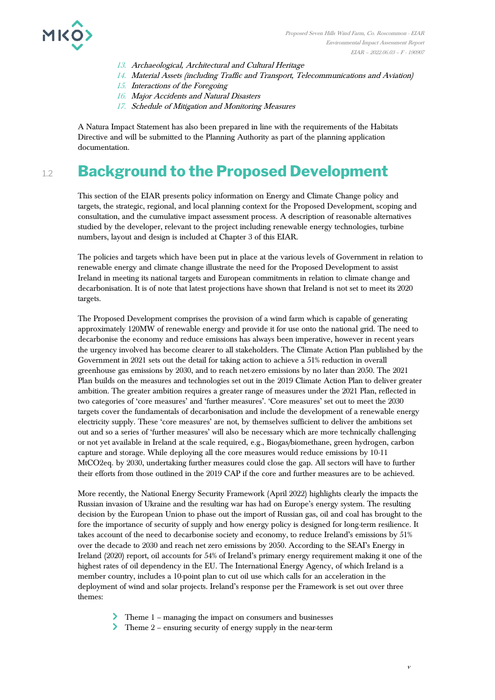

- 13. Archaeological, Architectural and Cultural Heritage
- 14. Material Assets (including Traffic and Transport, Telecommunications and Aviation)
- 15. Interactions of the Foregoing
- 16. Major Accidents and Natural Disasters
- 17. Schedule of Mitigation and Monitoring Measures

A Natura Impact Statement has also been prepared in line with the requirements of the Habitats Directive and will be submitted to the Planning Authority as part of the planning application documentation.

## **Background to the Proposed Development**

This section of the EIAR presents policy information on Energy and Climate Change policy and targets, the strategic, regional, and local planning context for the Proposed Development, scoping and consultation, and the cumulative impact assessment process. A description of reasonable alternatives studied by the developer, relevant to the project including renewable energy technologies, turbine numbers, layout and design is included at Chapter 3 of this EIAR.

The policies and targets which have been put in place at the various levels of Government in relation to renewable energy and climate change illustrate the need for the Proposed Development to assist Ireland in meeting its national targets and European commitments in relation to climate change and decarbonisation. It is of note that latest projections have shown that Ireland is not set to meet its 2020 targets.

The Proposed Development comprises the provision of a wind farm which is capable of generating approximately 120MW of renewable energy and provide it for use onto the national grid. The need to decarbonise the economy and reduce emissions has always been imperative, however in recent years the urgency involved has become clearer to all stakeholders. The Climate Action Plan published by the Government in 2021 sets out the detail for taking action to achieve a 51% reduction in overall greenhouse gas emissions by 2030, and to reach net-zero emissions by no later than 2050. The 2021 Plan builds on the measures and technologies set out in the 2019 Climate Action Plan to deliver greater ambition. The greater ambition requires a greater range of measures under the 2021 Plan, reflected in two categories of 'core measures' and 'further measures'. 'Core measures' set out to meet the 2030 targets cover the fundamentals of decarbonisation and include the development of a renewable energy electricity supply. These 'core measures' are not, by themselves sufficient to deliver the ambitions set out and so a series of 'further measures' will also be necessary which are more technically challenging or not yet available in Ireland at the scale required, e.g., Biogas/biomethane, green hydrogen, carbon capture and storage. While deploying all the core measures would reduce emissions by 10-11 MtCO2eq. by 2030, undertaking further measures could close the gap. All sectors will have to further their efforts from those outlined in the 2019 CAP if the core and further measures are to be achieved.

More recently, the National Energy Security Framework (April 2022) highlights clearly the impacts the Russian invasion of Ukraine and the resulting war has had on Europe's energy system. The resulting decision by the European Union to phase out the import of Russian gas, oil and coal has brought to the fore the importance of security of supply and how energy policy is designed for long-term resilience. It takes account of the need to decarbonise society and economy, to reduce Ireland's emissions by 51% over the decade to 2030 and reach net zero emissions by 2050. According to the SEAI's Energy in Ireland (2020) report, oil accounts for 54% of Ireland's primary energy requirement making it one of the highest rates of oil dependency in the EU. The International Energy Agency, of which Ireland is a member country, includes a 10-point plan to cut oil use which calls for an acceleration in the deployment of wind and solar projects. Ireland's response per the Framework is set out over three themes:

- Theme 1 managing the impact on consumers and businesses
- Theme 2 ensuring security of energy supply in the near-term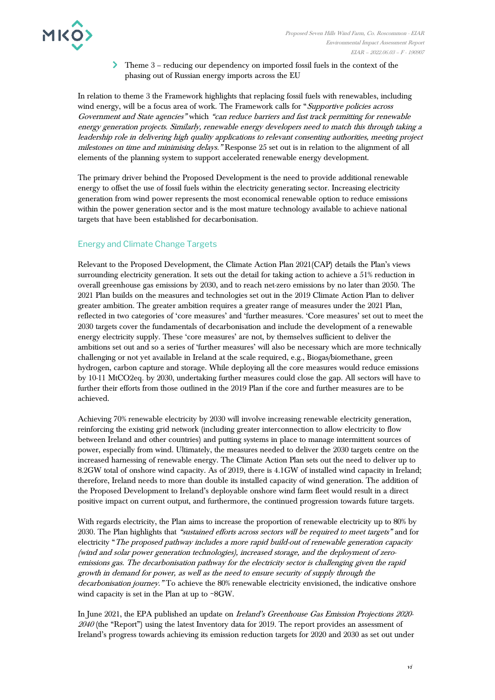

Theme 3 – reducing our dependency on imported fossil fuels in the context of the phasing out of Russian energy imports across the EU

In relation to theme 3 the Framework highlights that replacing fossil fuels with renewables, including wind energy, will be a focus area of work. The Framework calls for "Supportive policies across Government and State agencies" which "can reduce barriers and fast track permitting for renewable energy generation projects. Similarly, renewable energy developers need to match this through taking a leadership role in delivering high quality applications to relevant consenting authorities, meeting project milestones on time and minimising delays." Response 25 set out is in relation to the alignment of all elements of the planning system to support accelerated renewable energy development.

The primary driver behind the Proposed Development is the need to provide additional renewable energy to offset the use of fossil fuels within the electricity generating sector. Increasing electricity generation from wind power represents the most economical renewable option to reduce emissions within the power generation sector and is the most mature technology available to achieve national targets that have been established for decarbonisation.

## Energy and Climate Change Targets

Relevant to the Proposed Development, the Climate Action Plan 2021(CAP) details the Plan's views surrounding electricity generation. It sets out the detail for taking action to achieve a 51% reduction in overall greenhouse gas emissions by 2030, and to reach net-zero emissions by no later than 2050. The 2021 Plan builds on the measures and technologies set out in the 2019 Climate Action Plan to deliver greater ambition. The greater ambition requires a greater range of measures under the 2021 Plan, reflected in two categories of 'core measures' and 'further measures. 'Core measures' set out to meet the 2030 targets cover the fundamentals of decarbonisation and include the development of a renewable energy electricity supply. These 'core measures' are not, by themselves sufficient to deliver the ambitions set out and so a series of 'further measures' will also be necessary which are more technically challenging or not yet available in Ireland at the scale required, e.g., Biogas/biomethane, green hydrogen, carbon capture and storage. While deploying all the core measures would reduce emissions by 10-11 MtCO2eq. by 2030, undertaking further measures could close the gap. All sectors will have to further their efforts from those outlined in the 2019 Plan if the core and further measures are to be achieved.

Achieving 70% renewable electricity by 2030 will involve increasing renewable electricity generation, reinforcing the existing grid network (including greater interconnection to allow electricity to flow between Ireland and other countries) and putting systems in place to manage intermittent sources of power, especially from wind. Ultimately, the measures needed to deliver the 2030 targets centre on the increased harnessing of renewable energy. The Climate Action Plan sets out the need to deliver up to 8.2GW total of onshore wind capacity. As of 2019, there is 4.1GW of installed wind capacity in Ireland; therefore, Ireland needs to more than double its installed capacity of wind generation. The addition of the Proposed Development to Ireland's deployable onshore wind farm fleet would result in a direct positive impact on current output, and furthermore, the continued progression towards future targets.

With regards electricity, the Plan aims to increase the proportion of renewable electricity up to 80% by 2030. The Plan highlights that "sustained efforts across sectors will be required to meet targets" and for electricity "The proposed pathway includes a more rapid build-out of renewable generation capacity (wind and solar power generation technologies), increased storage, and the deployment of zeroemissions gas. The decarbonisation pathway for the electricity sector is challenging given the rapid growth in demand for power, as well as the need to ensure security of supply through the decarbonisation journey." To achieve the 80% renewable electricity envisioned, the indicative onshore wind capacity is set in the Plan at up to  $\sim\!\!8\mathrm{GW}.$ 

In June 2021, the EPA published an update on Ireland's Greenhouse Gas Emission Projections 2020- <sup>2040</sup> (the "Report") using the latest Inventory data for 2019. The report provides an assessment of Ireland's progress towards achieving its emission reduction targets for 2020 and 2030 as set out under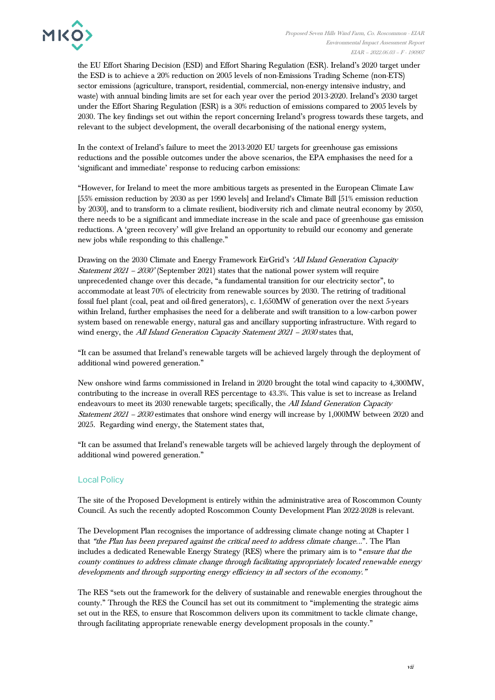

the EU Effort Sharing Decision (ESD) and Effort Sharing Regulation (ESR). Ireland's 2020 target under the ESD is to achieve a 20% reduction on 2005 levels of non-Emissions Trading Scheme (non-ETS) sector emissions (agriculture, transport, residential, commercial, non-energy intensive industry, and waste) with annual binding limits are set for each year over the period 2013-2020. Ireland's 2030 target under the Effort Sharing Regulation (ESR) is a 30% reduction of emissions compared to 2005 levels by 2030. The key findings set out within the report concerning Ireland's progress towards these targets, and relevant to the subject development, the overall decarbonising of the national energy system,

In the context of Ireland's failure to meet the 2013-2020 EU targets for greenhouse gas emissions reductions and the possible outcomes under the above scenarios, the EPA emphasises the need for a 'significant and immediate' response to reducing carbon emissions:

"However, for Ireland to meet the more ambitious targets as presented in the European Climate Law [55% emission reduction by 2030 as per 1990 levels] and Ireland's Climate Bill [51% emission reduction by 2030], and to transform to a climate resilient, biodiversity rich and climate neutral economy by 2050, there needs to be a significant and immediate increase in the scale and pace of greenhouse gas emission reductions. A 'green recovery' will give Ireland an opportunity to rebuild our economy and generate new jobs while responding to this challenge."

Drawing on the 2030 Climate and Energy Framework EirGrid's 'All Island Generation Capacity *Statement 2021 – 2030'* (September 2021) states that the national power system will require unprecedented change over this decade, "a fundamental transition for our electricity sector", to accommodate at least 70% of electricity from renewable sources by 2030. The retiring of traditional fossil fuel plant (coal, peat and oil-fired generators), c. 1,650MW of generation over the next 5-years within Ireland, further emphasises the need for a deliberate and swift transition to a low-carbon power system based on renewable energy, natural gas and ancillary supporting infrastructure. With regard to wind energy, the All Island Generation Capacity Statement 2021 - 2030 states that,

"It can be assumed that Ireland's renewable targets will be achieved largely through the deployment of additional wind powered generation."

New onshore wind farms commissioned in Ireland in 2020 brought the total wind capacity to 4,300MW, contributing to the increase in overall RES percentage to 43.3%. This value is set to increase as Ireland endeavours to meet its 2030 renewable targets; specifically, the All Island Generation Capacity Statement 2021 – <sup>2030</sup> estimates that onshore wind energy will increase by 1,000MW between 2020 and 2025. Regarding wind energy, the Statement states that,

"It can be assumed that Ireland's renewable targets will be achieved largely through the deployment of additional wind powered generation."

## Local Policy

The site of the Proposed Development is entirely within the administrative area of Roscommon County Council. As such the recently adopted Roscommon County Development Plan 2022-2028 is relevant.

The Development Plan recognises the importance of addressing climate change noting at Chapter 1 that "the Plan has been prepared against the critical need to address climate change...". The Plan includes a dedicated Renewable Energy Strategy (RES) where the primary aim is to "*ensure that the* county continues to address climate change through facilitating appropriately located renewable energy developments and through supporting energy efficiency in all sectors of the economy."

The RES "sets out the framework for the delivery of sustainable and renewable energies throughout the county." Through the RES the Council has set out its commitment to "implementing the strategic aims set out in the RES, to ensure that Roscommon delivers upon its commitment to tackle climate change, through facilitating appropriate renewable energy development proposals in the county."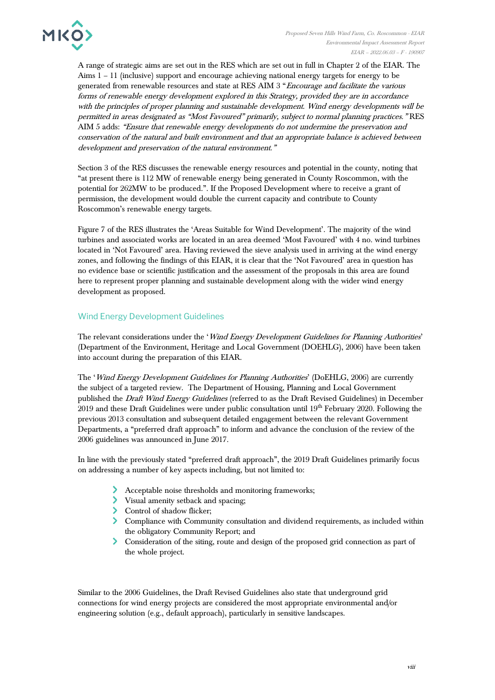

A range of strategic aims are set out in the RES which are set out in full in Chapter 2 of the EIAR. The Aims 1 – 11 (inclusive) support and encourage achieving national energy targets for energy to be generated from renewable resources and state at RES AIM 3 "Encourage and facilitate the various forms of renewable energy development explored in this Strategy, provided they are in accordance with the principles of proper planning and sustainable development. Wind energy developments will be permitted in areas designated as "Most Favoured" primarily, subject to normal planning practices." RES AIM 5 adds: "Ensure that renewable energy developments do not undermine the preservation and conservation of the natural and built environment and that an appropriate balance is achieved between development and preservation of the natural environment."

Section 3 of the RES discusses the renewable energy resources and potential in the county, noting that "at present there is 112 MW of renewable energy being generated in County Roscommon, with the potential for 262MW to be produced.". If the Proposed Development where to receive a grant of permission, the development would double the current capacity and contribute to County Roscommon's renewable energy targets.

Figure 7 of the RES illustrates the 'Areas Suitable for Wind Development'. The majority of the wind turbines and associated works are located in an area deemed 'Most Favoured' with 4 no. wind turbines located in 'Not Favoured' area. Having reviewed the sieve analysis used in arriving at the wind energy zones, and following the findings of this EIAR, it is clear that the 'Not Favoured' area in question has no evidence base or scientific justification and the assessment of the proposals in this area are found here to represent proper planning and sustainable development along with the wider wind energy development as proposed.

## Wind Energy Development Guidelines

The relevant considerations under the 'Wind Energy Development Guidelines for Planning Authorities' (Department of the Environment, Heritage and Local Government (DOEHLG), 2006) have been taken into account during the preparation of this EIAR.

The 'Wind Energy Development Guidelines for Planning Authorities' (DoEHLG, 2006) are currently the subject of a targeted review. The Department of Housing, Planning and Local Government published the Draft Wind Energy Guidelines (referred to as the Draft Revised Guidelines) in December  $2019$  and these Draft Guidelines were under public consultation until  $19<sup>th</sup>$  February 2020. Following the previous 2013 consultation and subsequent detailed engagement between the relevant Government Departments, a "preferred draft approach" to inform and advance the conclusion of the review of the 2006 guidelines was announced in June 2017.

In line with the previously stated "preferred draft approach", the 2019 Draft Guidelines primarily focus on addressing a number of key aspects including, but not limited to:

- Acceptable noise thresholds and monitoring frameworks;
- Visual amenity setback and spacing;
- > Control of shadow flicker;
- Compliance with Community consultation and dividend requirements, as included within the obligatory Community Report; and
- Consideration of the siting, route and design of the proposed grid connection as part of the whole project.

Similar to the 2006 Guidelines, the Draft Revised Guidelines also state that underground grid connections for wind energy projects are considered the most appropriate environmental and/or engineering solution (e.g., default approach), particularly in sensitive landscapes.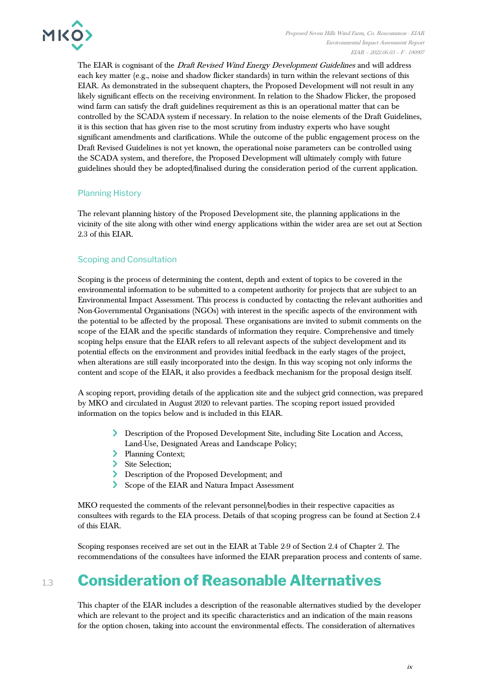

The EIAR is cognisant of the *Draft Revised Wind Energy Development Guidelines* and will address each key matter (e.g., noise and shadow flicker standards) in turn within the relevant sections of this EIAR. As demonstrated in the subsequent chapters, the Proposed Development will not result in any likely significant effects on the receiving environment. In relation to the Shadow Flicker, the proposed wind farm can satisfy the draft guidelines requirement as this is an operational matter that can be controlled by the SCADA system if necessary. In relation to the noise elements of the Draft Guidelines, it is this section that has given rise to the most scrutiny from industry experts who have sought significant amendments and clarifications. While the outcome of the public engagement process on the Draft Revised Guidelines is not yet known, the operational noise parameters can be controlled using the SCADA system, and therefore, the Proposed Development will ultimately comply with future guidelines should they be adopted/finalised during the consideration period of the current application.

## Planning History

The relevant planning history of the Proposed Development site, the planning applications in the vicinity of the site along with other wind energy applications within the wider area are set out at Section 2.3 of this EIAR.

## Scoping and Consultation

Scoping is the process of determining the content, depth and extent of topics to be covered in the environmental information to be submitted to a competent authority for projects that are subject to an Environmental Impact Assessment. This process is conducted by contacting the relevant authorities and Non-Governmental Organisations (NGOs) with interest in the specific aspects of the environment with the potential to be affected by the proposal. These organisations are invited to submit comments on the scope of the EIAR and the specific standards of information they require. Comprehensive and timely scoping helps ensure that the EIAR refers to all relevant aspects of the subject development and its potential effects on the environment and provides initial feedback in the early stages of the project, when alterations are still easily incorporated into the design. In this way scoping not only informs the content and scope of the EIAR, it also provides a feedback mechanism for the proposal design itself.

A scoping report, providing details of the application site and the subject grid connection, was prepared by MKO and circulated in August 2020 to relevant parties. The scoping report issued provided information on the topics below and is included in this EIAR.

- Description of the Proposed Development Site, including Site Location and Access, Land-Use, Designated Areas and Landscape Policy;
- > Planning Context;
- > Site Selection;
- Description of the Proposed Development; and
- Scope of the EIAR and Natura Impact Assessment

MKO requested the comments of the relevant personnel/bodies in their respective capacities as consultees with regards to the EIA process. Details of that scoping progress can be found at Section 2.4 of this EIAR.

Scoping responses received are set out in the EIAR at Table 2-9 of Section 2.4 of Chapter 2. The recommendations of the consultees have informed the EIAR preparation process and contents of same.

# 1.3 **Consideration of Reasonable Alternatives**

This chapter of the EIAR includes a description of the reasonable alternatives studied by the developer which are relevant to the project and its specific characteristics and an indication of the main reasons for the option chosen, taking into account the environmental effects. The consideration of alternatives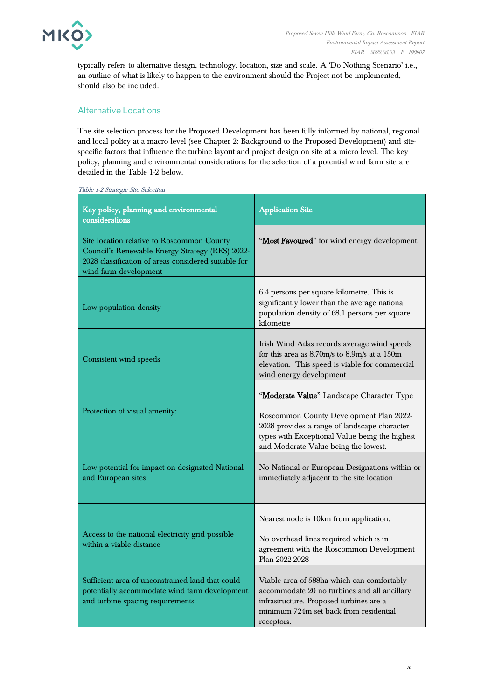

typically refers to alternative design, technology, location, size and scale. A 'Do Nothing Scenario' i.e., an outline of what is likely to happen to the environment should the Project not be implemented, should also be included.

## Alternative Locations

The site selection process for the Proposed Development has been fully informed by national, regional and local policy at a macro level (see Chapter 2: Background to the Proposed Development) and sitespecific factors that influence the turbine layout and project design on site at a micro level. The key policy, planning and environmental considerations for the selection of a potential wind farm site are detailed in the Table 1-2 below.

| Key policy, planning and environmental<br>considerations                                                                                                                       | <b>Application Site</b>                                                                                                                                                                                                        |
|--------------------------------------------------------------------------------------------------------------------------------------------------------------------------------|--------------------------------------------------------------------------------------------------------------------------------------------------------------------------------------------------------------------------------|
| Site location relative to Roscommon County<br>Council's Renewable Energy Strategy (RES) 2022-<br>2028 classification of areas considered suitable for<br>wind farm development | "Most Favoured" for wind energy development                                                                                                                                                                                    |
| Low population density                                                                                                                                                         | 6.4 persons per square kilometre. This is<br>significantly lower than the average national<br>population density of 68.1 persons per square<br>kilometre                                                                       |
| Consistent wind speeds                                                                                                                                                         | Irish Wind Atlas records average wind speeds<br>for this area as $8.70$ m/s to $8.9$ m/s at a $150$ m<br>elevation. This speed is viable for commercial<br>wind energy development                                             |
| Protection of visual amenity:                                                                                                                                                  | "Moderate Value" Landscape Character Type<br>Roscommon County Development Plan 2022-<br>2028 provides a range of landscape character<br>types with Exceptional Value being the highest<br>and Moderate Value being the lowest. |
| Low potential for impact on designated National<br>and European sites                                                                                                          | No National or European Designations within or<br>immediately adjacent to the site location                                                                                                                                    |
| Access to the national electricity grid possible<br>within a viable distance                                                                                                   | Nearest node is 10km from application.<br>No overhead lines required which is in<br>agreement with the Roscommon Development<br>Plan 2022-2028                                                                                 |
| Sufficient area of unconstrained land that could<br>potentially accommodate wind farm development<br>and turbine spacing requirements                                          | Viable area of 588ha which can comfortably<br>accommodate 20 no turbines and all ancillary<br>infrastructure. Proposed turbines are a<br>minimum 724m set back from residential<br>receptors.                                  |

<span id="page-12-0"></span>Table 1-2 Strategic Site Selection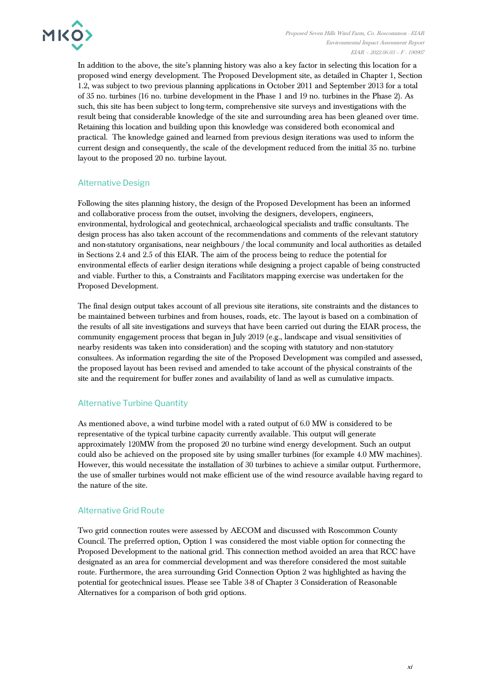

In addition to the above, the site's planning history was also a key factor in selecting this location for a proposed wind energy development. The Proposed Development site, as detailed in Chapter 1, Section 1.2, was subject to two previous planning applications in October 2011 and September 2013 for a total of 35 no. turbines (16 no. turbine development in the Phase 1 and 19 no. turbines in the Phase 2). As such, this site has been subject to long-term, comprehensive site surveys and investigations with the result being that considerable knowledge of the site and surrounding area has been gleaned over time. Retaining this location and building upon this knowledge was considered both economical and practical. The knowledge gained and learned from previous design iterations was used to inform the current design and consequently, the scale of the development reduced from the initial 35 no. turbine layout to the proposed 20 no. turbine layout.

## Alternative Design

Following the sites planning history, the design of the Proposed Development has been an informed and collaborative process from the outset, involving the designers, developers, engineers, environmental, hydrological and geotechnical, archaeological specialists and traffic consultants. The design process has also taken account of the recommendations and comments of the relevant statutory and non-statutory organisations, near neighbours / the local community and local authorities as detailed in Sections 2.4 and 2.5 of this EIAR. The aim of the process being to reduce the potential for environmental effects of earlier design iterations while designing a project capable of being constructed and viable. Further to this, a Constraints and Facilitators mapping exercise was undertaken for the Proposed Development.

The final design output takes account of all previous site iterations, site constraints and the distances to be maintained between turbines and from houses, roads, etc. The layout is based on a combination of the results of all site investigations and surveys that have been carried out during the EIAR process, the community engagement process that began in July 2019 (e.g., landscape and visual sensitivities of nearby residents was taken into consideration) and the scoping with statutory and non-statutory consultees. As information regarding the site of the Proposed Development was compiled and assessed, the proposed layout has been revised and amended to take account of the physical constraints of the site and the requirement for buffer zones and availability of land as well as cumulative impacts.

## Alternative Turbine Quantity

As mentioned above, a wind turbine model with a rated output of 6.0 MW is considered to be representative of the typical turbine capacity currently available. This output will generate approximately 120MW from the proposed 20 no turbine wind energy development. Such an output could also be achieved on the proposed site by using smaller turbines (for example 4.0 MW machines). However, this would necessitate the installation of 30 turbines to achieve a similar output. Furthermore, the use of smaller turbines would not make efficient use of the wind resource available having regard to the nature of the site.

## Alternative Grid Route

Two grid connection routes were assessed by AECOM and discussed with Roscommon County Council. The preferred option, Option 1 was considered the most viable option for connecting the Proposed Development to the national grid. This connection method avoided an area that RCC have designated as an area for commercial development and was therefore considered the most suitable route. Furthermore, the area surrounding Grid Connection Option 2 was highlighted as having the potential for geotechnical issues. Please see Table 3-8 of Chapter 3 Consideration of Reasonable Alternatives for a comparison of both grid options.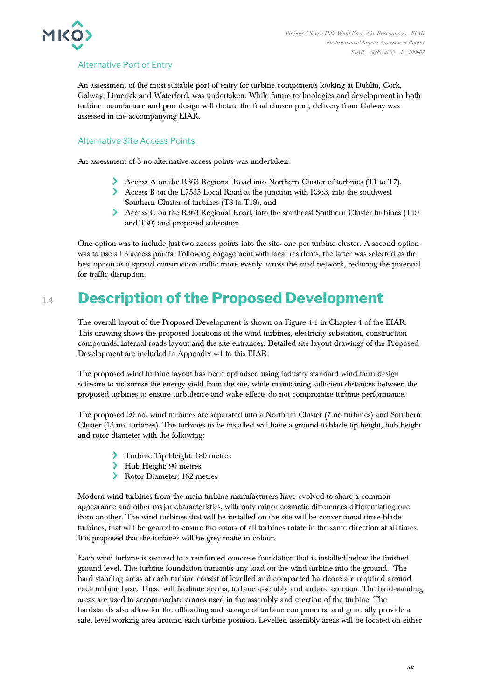

## Alternative Port of Entry

An assessment of the most suitable port of entry for turbine components looking at Dublin, Cork, Galway, Limerick and Waterford, was undertaken. While future technologies and development in both turbine manufacture and port design will dictate the final chosen port, delivery from Galway was assessed in the accompanying EIAR.

## Alternative Site Access Points

An assessment of 3 no alternative access points was undertaken:

- Access A on the R363 Regional Road into Northern Cluster of turbines (T1 to T7).
- Access B on the L7535 Local Road at the junction with R363, into the southwest Southern Cluster of turbines (T8 to T18), and
- Access C on the R363 Regional Road, into the southeast Southern Cluster turbines (T19 and T20) and proposed substation

One option was to include just two access points into the site- one per turbine cluster. A second option was to use all 3 access points. Following engagement with local residents, the latter was selected as the best option as it spread construction traffic more evenly across the road network, reducing the potential for traffic disruption.

## 1.4 **Description of the Proposed Development**

The overall layout of the Proposed Development is shown on Figure 4-1 in Chapter 4 of the EIAR. This drawing shows the proposed locations of the wind turbines, electricity substation, construction compounds, internal roads layout and the site entrances. Detailed site layout drawings of the Proposed Development are included in Appendix 4-1 to this EIAR.

The proposed wind turbine layout has been optimised using industry standard wind farm design software to maximise the energy yield from the site, while maintaining sufficient distances between the proposed turbines to ensure turbulence and wake effects do not compromise turbine performance.

The proposed 20 no. wind turbines are separated into a Northern Cluster (7 no turbines) and Southern Cluster (13 no. turbines). The turbines to be installed will have a ground-to-blade tip height, hub height and rotor diameter with the following:

- Turbine Tip Height: 180 metres
- Hub Height: 90 metres
- Rotor Diameter: 162 metres

Modern wind turbines from the main turbine manufacturers have evolved to share a common appearance and other major characteristics, with only minor cosmetic differences differentiating one from another. The wind turbines that will be installed on the site will be conventional three-blade turbines, that will be geared to ensure the rotors of all turbines rotate in the same direction at all times. It is proposed that the turbines will be grey matte in colour.

Each wind turbine is secured to a reinforced concrete foundation that is installed below the finished ground level. The turbine foundation transmits any load on the wind turbine into the ground. The hard standing areas at each turbine consist of levelled and compacted hardcore are required around each turbine base. These will facilitate access, turbine assembly and turbine erection. The hard-standing areas are used to accommodate cranes used in the assembly and erection of the turbine. The hardstands also allow for the offloading and storage of turbine components, and generally provide a safe, level working area around each turbine position. Levelled assembly areas will be located on either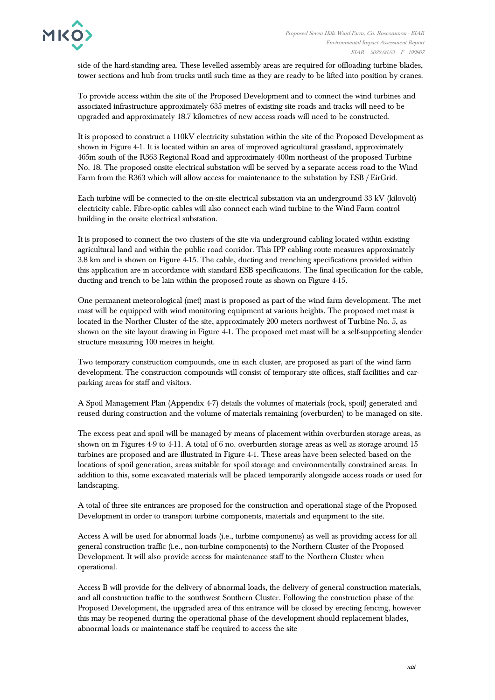side of the hard-standing area. These levelled assembly areas are required for offloading turbine blades, tower sections and hub from trucks until such time as they are ready to be lifted into position by cranes.

To provide access within the site of the Proposed Development and to connect the wind turbines and associated infrastructure approximately 635 metres of existing site roads and tracks will need to be upgraded and approximately 18.7 kilometres of new access roads will need to be constructed.

It is proposed to construct a 110kV electricity substation within the site of the Proposed Development as shown in Figure 4-1. It is located within an area of improved agricultural grassland, approximately 465m south of the R363 Regional Road and approximately 400m northeast of the proposed Turbine No. 18. The proposed onsite electrical substation will be served by a separate access road to the Wind Farm from the R363 which will allow access for maintenance to the substation by ESB / EirGrid.

Each turbine will be connected to the on-site electrical substation via an underground 33 kV (kilovolt) electricity cable. Fibre-optic cables will also connect each wind turbine to the Wind Farm control building in the onsite electrical substation.

It is proposed to connect the two clusters of the site via underground cabling located within existing agricultural land and within the public road corridor. This IPP cabling route measures approximately 3.8 km and is shown on Figure 4-15. The cable, ducting and trenching specifications provided within this application are in accordance with standard ESB specifications. The final specification for the cable, ducting and trench to be lain within the proposed route as shown on Figure 4-15.

One permanent meteorological (met) mast is proposed as part of the wind farm development. The met mast will be equipped with wind monitoring equipment at various heights. The proposed met mast is located in the Norther Cluster of the site, approximately 200 meters northwest of Turbine No. 5, as shown on the site layout drawing in Figure 4-1. The proposed met mast will be a self-supporting slender structure measuring 100 metres in height.

Two temporary construction compounds, one in each cluster, are proposed as part of the wind farm development. The construction compounds will consist of temporary site offices, staff facilities and carparking areas for staff and visitors.

A Spoil Management Plan (Appendix 4-7) details the volumes of materials (rock, spoil) generated and reused during construction and the volume of materials remaining (overburden) to be managed on site.

The excess peat and spoil will be managed by means of placement within overburden storage areas, as shown on in Figures 4-9 to 4-11. A total of 6 no. overburden storage areas as well as storage around 15 turbines are proposed and are illustrated in Figure 4-1. These areas have been selected based on the locations of spoil generation, areas suitable for spoil storage and environmentally constrained areas. In addition to this, some excavated materials will be placed temporarily alongside access roads or used for landscaping.

A total of three site entrances are proposed for the construction and operational stage of the Proposed Development in order to transport turbine components, materials and equipment to the site.

Access A will be used for abnormal loads (i.e., turbine components) as well as providing access for all general construction traffic (i.e., non-turbine components) to the Northern Cluster of the Proposed Development. It will also provide access for maintenance staff to the Northern Cluster when operational.

Access B will provide for the delivery of abnormal loads, the delivery of general construction materials, and all construction traffic to the southwest Southern Cluster. Following the construction phase of the Proposed Development, the upgraded area of this entrance will be closed by erecting fencing, however this may be reopened during the operational phase of the development should replacement blades, abnormal loads or maintenance staff be required to access the site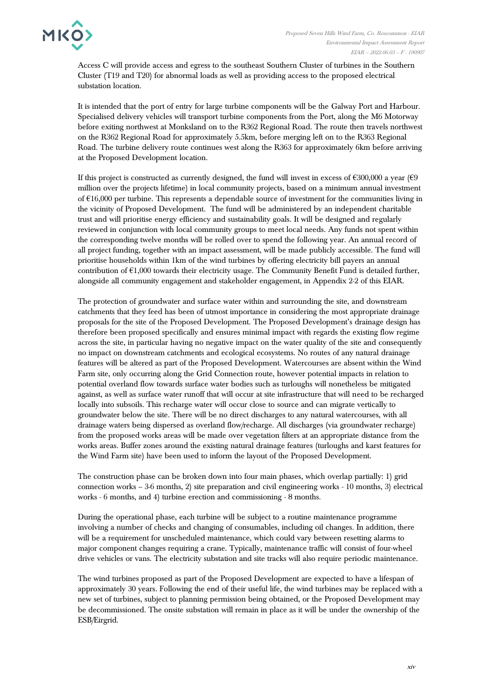

Access C will provide access and egress to the southeast Southern Cluster of turbines in the Southern Cluster (T19 and T20) for abnormal loads as well as providing access to the proposed electrical substation location.

It is intended that the port of entry for large turbine components will be the Galway Port and Harbour. Specialised delivery vehicles will transport turbine components from the Port, along the M6 Motorway before exiting northwest at Monksland on to the R362 Regional Road. The route then travels northwest on the R362 Regional Road for approximately 5.5km, before merging left on to the R363 Regional Road. The turbine delivery route continues west along the R363 for approximately 6km before arriving at the Proposed Development location.

If this project is constructed as currently designed, the fund will invest in excess of  $\epsilon$ 300,000 a year ( $\epsilon$ 9 million over the projects lifetime) in local community projects, based on a minimum annual investment of  $E16,000$  per turbine. This represents a dependable source of investment for the communities living in the vicinity of Proposed Development. The fund will be administered by an independent charitable trust and will prioritise energy efficiency and sustainability goals. It will be designed and regularly reviewed in conjunction with local community groups to meet local needs. Any funds not spent within the corresponding twelve months will be rolled over to spend the following year. An annual record of all project funding, together with an impact assessment, will be made publicly accessible. The fund will prioritise households within 1km of the wind turbines by offering electricity bill payers an annual contribution of  $E1,000$  towards their electricity usage. The Community Benefit Fund is detailed further, alongside all community engagement and stakeholder engagement, in Appendix 2-2 of this EIAR.

The protection of groundwater and surface water within and surrounding the site, and downstream catchments that they feed has been of utmost importance in considering the most appropriate drainage proposals for the site of the Proposed Development. The Proposed Development's drainage design has therefore been proposed specifically and ensures minimal impact with regards the existing flow regime across the site, in particular having no negative impact on the water quality of the site and consequently no impact on downstream catchments and ecological ecosystems. No routes of any natural drainage features will be altered as part of the Proposed Development. Watercourses are absent within the Wind Farm site, only occurring along the Grid Connection route, however potential impacts in relation to potential overland flow towards surface water bodies such as turloughs will nonetheless be mitigated against, as well as surface water runoff that will occur at site infrastructure that will need to be recharged locally into subsoils. This recharge water will occur close to source and can migrate vertically to groundwater below the site. There will be no direct discharges to any natural watercourses, with all drainage waters being dispersed as overland flow/recharge. All discharges (via groundwater recharge) from the proposed works areas will be made over vegetation filters at an appropriate distance from the works areas. Buffer zones around the existing natural drainage features (turloughs and karst features for the Wind Farm site) have been used to inform the layout of the Proposed Development.

The construction phase can be broken down into four main phases, which overlap partially: 1) grid connection works – 3-6 months, 2) site preparation and civil engineering works - 10 months, 3) electrical works - 6 months, and 4) turbine erection and commissioning - 8 months.

During the operational phase, each turbine will be subject to a routine maintenance programme involving a number of checks and changing of consumables, including oil changes. In addition, there will be a requirement for unscheduled maintenance, which could vary between resetting alarms to major component changes requiring a crane. Typically, maintenance traffic will consist of four-wheel drive vehicles or vans. The electricity substation and site tracks will also require periodic maintenance.

The wind turbines proposed as part of the Proposed Development are expected to have a lifespan of approximately 30 years. Following the end of their useful life, the wind turbines may be replaced with a new set of turbines, subject to planning permission being obtained, or the Proposed Development may be decommissioned. The onsite substation will remain in place as it will be under the ownership of the ESB/Eirgrid.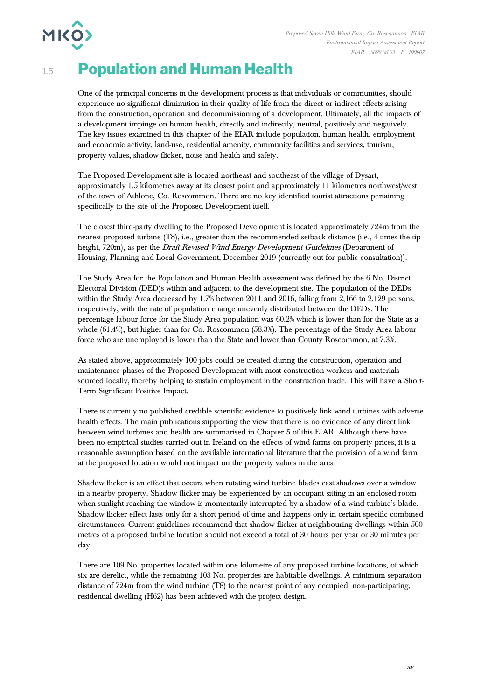

## 1.5 **Population and Human Health**

One of the principal concerns in the development process is that individuals or communities, should experience no significant diminution in their quality of life from the direct or indirect effects arising from the construction, operation and decommissioning of a development. Ultimately, all the impacts of a development impinge on human health, directly and indirectly, neutral, positively and negatively. The key issues examined in this chapter of the EIAR include population, human health, employment and economic activity, land-use, residential amenity, community facilities and services, tourism, property values, shadow flicker, noise and health and safety.

The Proposed Development site is located northeast and southeast of the village of Dysart, approximately 1.5 kilometres away at its closest point and approximately 11 kilometres northwest/west of the town of Athlone, Co. Roscommon. There are no key identified tourist attractions pertaining specifically to the site of the Proposed Development itself.

The closest third-party dwelling to the Proposed Development is located approximately 724m from the nearest proposed turbine (T8), i.e., greater than the recommended setback distance (i.e., 4 times the tip height, 720m), as per the *Draft Revised Wind Energy Development Guidelines* (Department of Housing, Planning and Local Government, December 2019 (currently out for public consultation)).

The Study Area for the Population and Human Health assessment was defined by the 6 No. District Electoral Division (DED)s within and adjacent to the development site. The population of the DEDs within the Study Area decreased by 1.7% between 2011 and 2016, falling from 2,166 to 2,129 persons, respectively, with the rate of population change unevenly distributed between the DEDs. The percentage labour force for the Study Area population was 60.2% which is lower than for the State as a whole (61.4%), but higher than for Co. Roscommon (58.3%). The percentage of the Study Area labour force who are unemployed is lower than the State and lower than County Roscommon, at 7.3%.

As stated above, approximately 100 jobs could be created during the construction, operation and maintenance phases of the Proposed Development with most construction workers and materials sourced locally, thereby helping to sustain employment in the construction trade. This will have a Short-Term Significant Positive Impact.

There is currently no published credible scientific evidence to positively link wind turbines with adverse health effects. The main publications supporting the view that there is no evidence of any direct link between wind turbines and health are summarised in Chapter 5 of this EIAR. Although there have been no empirical studies carried out in Ireland on the effects of wind farms on property prices, it is a reasonable assumption based on the available international literature that the provision of a wind farm at the proposed location would not impact on the property values in the area.

Shadow flicker is an effect that occurs when rotating wind turbine blades cast shadows over a window in a nearby property. Shadow flicker may be experienced by an occupant sitting in an enclosed room when sunlight reaching the window is momentarily interrupted by a shadow of a wind turbine's blade. Shadow flicker effect lasts only for a short period of time and happens only in certain specific combined circumstances. Current guidelines recommend that shadow flicker at neighbouring dwellings within 500 metres of a proposed turbine location should not exceed a total of 30 hours per year or 30 minutes per day.

There are 109 No. properties located within one kilometre of any proposed turbine locations, of which six are derelict, while the remaining 103 No. properties are habitable dwellings. A minimum separation distance of 724m from the wind turbine (T8) to the nearest point of any occupied, non-participating, residential dwelling (H62) has been achieved with the project design.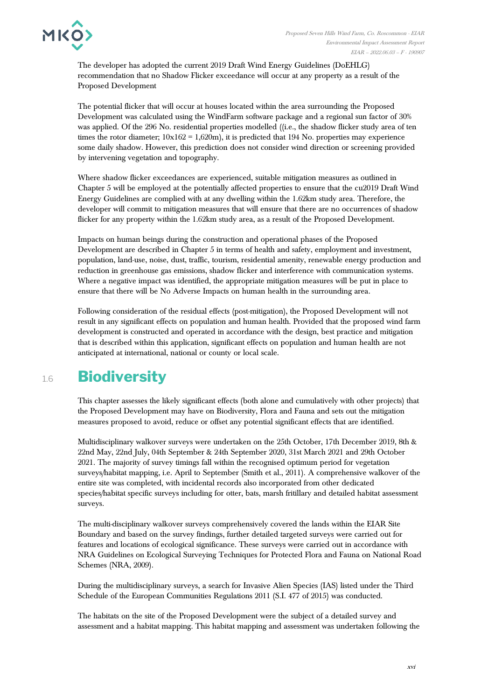**MKO** 



The developer has adopted the current 2019 Draft Wind Energy Guidelines (DoEHLG) recommendation that no Shadow Flicker exceedance will occur at any property as a result of the Proposed Development

The potential flicker that will occur at houses located within the area surrounding the Proposed Development was calculated using the WindFarm software package and a regional sun factor of 30% was applied. Of the 296 No. residential properties modelled ((i.e., the shadow flicker study area of ten times the rotor diameter;  $10x162 = 1,620m$ , it is predicted that 194 No. properties may experience some daily shadow. However, this prediction does not consider wind direction or screening provided by intervening vegetation and topography.

Where shadow flicker exceedances are experienced, suitable mitigation measures as outlined in Chapter 5 will be employed at the potentially affected properties to ensure that the cu2019 Draft Wind Energy Guidelines are complied with at any dwelling within the 1.62km study area. Therefore, the developer will commit to mitigation measures that will ensure that there are no occurrences of shadow flicker for any property within the 1.62km study area, as a result of the Proposed Development.

Impacts on human beings during the construction and operational phases of the Proposed Development are described in Chapter 5 in terms of health and safety, employment and investment, population, land-use, noise, dust, traffic, tourism, residential amenity, renewable energy production and reduction in greenhouse gas emissions, shadow flicker and interference with communication systems. Where a negative impact was identified, the appropriate mitigation measures will be put in place to ensure that there will be No Adverse Impacts on human health in the surrounding area.

Following consideration of the residual effects (post-mitigation), the Proposed Development will not result in any significant effects on population and human health. Provided that the proposed wind farm development is constructed and operated in accordance with the design, best practice and mitigation that is described within this application, significant effects on population and human health are not anticipated at international, national or county or local scale.

## 1.6 **Biodiversity**

This chapter assesses the likely significant effects (both alone and cumulatively with other projects) that the Proposed Development may have on Biodiversity, Flora and Fauna and sets out the mitigation measures proposed to avoid, reduce or offset any potential significant effects that are identified.

Multidisciplinary walkover surveys were undertaken on the 25th October, 17th December 2019, 8th & 22nd May, 22nd July, 04th September & 24th September 2020, 31st March 2021 and 29th October 2021. The majority of survey timings fall within the recognised optimum period for vegetation surveys/habitat mapping, i.e. April to September (Smith et al., 2011). A comprehensive walkover of the entire site was completed, with incidental records also incorporated from other dedicated species/habitat specific surveys including for otter, bats, marsh fritillary and detailed habitat assessment surveys.

The multi-disciplinary walkover surveys comprehensively covered the lands within the EIAR Site Boundary and based on the survey findings, further detailed targeted surveys were carried out for features and locations of ecological significance. These surveys were carried out in accordance with NRA Guidelines on Ecological Surveying Techniques for Protected Flora and Fauna on National Road Schemes (NRA, 2009).

During the multidisciplinary surveys, a search for Invasive Alien Species (IAS) listed under the Third Schedule of the European Communities Regulations 2011 (S.I. 477 of 2015) was conducted.

The habitats on the site of the Proposed Development were the subject of a detailed survey and assessment and a habitat mapping. This habitat mapping and assessment was undertaken following the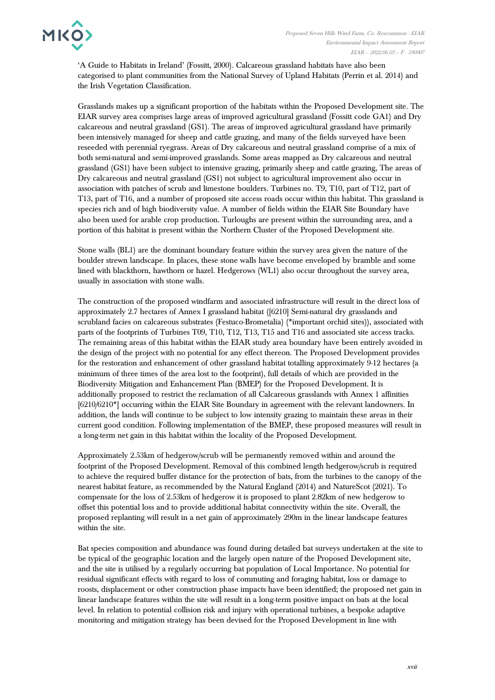

'A Guide to Habitats in Ireland' (Fossitt, 2000). Calcareous grassland habitats have also been categorised to plant communities from the National Survey of Upland Habitats (Perrin et al. 2014) and the Irish Vegetation Classification.

Grasslands makes up a significant proportion of the habitats within the Proposed Development site. The EIAR survey area comprises large areas of improved agricultural grassland (Fossitt code GA1) and Dry calcareous and neutral grassland (GS1). The areas of improved agricultural grassland have primarily been intensively managed for sheep and cattle grazing, and many of the fields surveyed have been reseeded with perennial ryegrass. Areas of Dry calcareous and neutral grassland comprise of a mix of both semi-natural and semi-improved grasslands. Some areas mapped as Dry calcareous and neutral grassland (GS1) have been subject to intensive grazing, primarily sheep and cattle grazing, The areas of Dry calcareous and neutral grassland (GS1) not subject to agricultural improvement also occur in association with patches of scrub and limestone boulders. Turbines no. T9, T10, part of T12, part of T13, part of T16, and a number of proposed site access roads occur within this habitat. This grassland is species rich and of high biodiversity value. A number of fields within the EIAR Site Boundary have also been used for arable crop production. Turloughs are present within the surrounding area, and a portion of this habitat is present within the Northern Cluster of the Proposed Development site.

Stone walls (BL1) are the dominant boundary feature within the survey area given the nature of the boulder strewn landscape. In places, these stone walls have become enveloped by bramble and some lined with blackthorn, hawthorn or hazel. Hedgerows (WL1) also occur throughout the survey area, usually in association with stone walls.

The construction of the proposed windfarm and associated infrastructure will result in the direct loss of approximately 2.7 hectares of Annex I grassland habitat ([6210] Semi-natural dry grasslands and scrubland facies on calcareous substrates (Festuco-Brometalia) (\*important orchid sites)), associated with parts of the footprints of Turbines T09, T10, T12, T13, T15 and T16 and associated site access tracks. The remaining areas of this habitat within the EIAR study area boundary have been entirely avoided in the design of the project with no potential for any effect thereon. The Proposed Development provides for the restoration and enhancement of other grassland habitat totalling approximately 9-12 hectares (a minimum of three times of the area lost to the footprint), full details of which are provided in the Biodiversity Mitigation and Enhancement Plan (BMEP) for the Proposed Development. It is additionally proposed to restrict the reclamation of all Calcareous grasslands with Annex 1 affinities [6210/6210\*] occurring within the EIAR Site Boundary in agreement with the relevant landowners. In addition, the lands will continue to be subject to low intensity grazing to maintain these areas in their current good condition. Following implementation of the BMEP, these proposed measures will result in a long-term net gain in this habitat within the locality of the Proposed Development.

Approximately 2.53km of hedgerow/scrub will be permanently removed within and around the footprint of the Proposed Development. Removal of this combined length hedgerow/scrub is required to achieve the required buffer distance for the protection of bats, from the turbines to the canopy of the nearest habitat feature, as recommended by the Natural England (2014) and NatureScot (2021). To compensate for the loss of 2.53km of hedgerow it is proposed to plant 2.82km of new hedgerow to offset this potential loss and to provide additional habitat connectivity within the site. Overall, the proposed replanting will result in a net gain of approximately 290m in the linear landscape features within the site.

Bat species composition and abundance was found during detailed bat surveys undertaken at the site to be typical of the geographic location and the largely open nature of the Proposed Development site, and the site is utilised by a regularly occurring bat population of Local Importance. No potential for residual significant effects with regard to loss of commuting and foraging habitat, loss or damage to roosts, displacement or other construction phase impacts have been identified; the proposed net gain in linear landscape features within the site will result in a long-term positive impact on bats at the local level. In relation to potential collision risk and injury with operational turbines, a bespoke adaptive monitoring and mitigation strategy has been devised for the Proposed Development in line with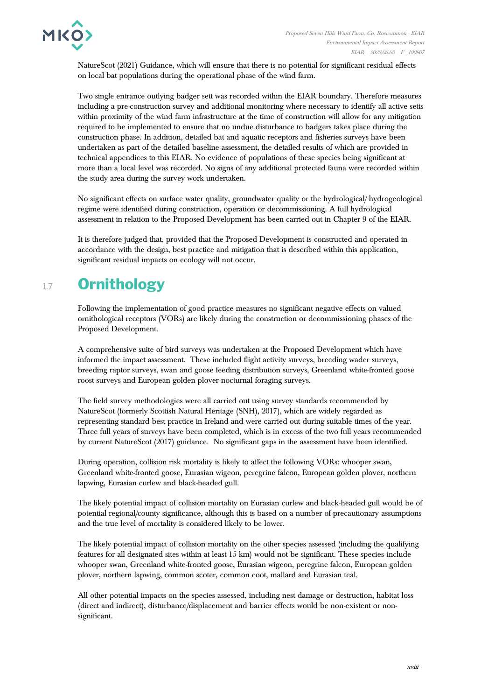

NatureScot (2021) Guidance, which will ensure that there is no potential for significant residual effects on local bat populations during the operational phase of the wind farm.

Two single entrance outlying badger sett was recorded within the EIAR boundary. Therefore measures including a pre-construction survey and additional monitoring where necessary to identify all active setts within proximity of the wind farm infrastructure at the time of construction will allow for any mitigation required to be implemented to ensure that no undue disturbance to badgers takes place during the construction phase. In addition, detailed bat and aquatic receptors and fisheries surveys have been undertaken as part of the detailed baseline assessment, the detailed results of which are provided in technical appendices to this EIAR. No evidence of populations of these species being significant at more than a local level was recorded. No signs of any additional protected fauna were recorded within the study area during the survey work undertaken.

No significant effects on surface water quality, groundwater quality or the hydrological/ hydrogeological regime were identified during construction, operation or decommissioning. A full hydrological assessment in relation to the Proposed Development has been carried out in Chapter 9 of the EIAR.

It is therefore judged that, provided that the Proposed Development is constructed and operated in accordance with the design, best practice and mitigation that is described within this application, significant residual impacts on ecology will not occur.

## 1.7 **Ornithology**

Following the implementation of good practice measures no significant negative effects on valued ornithological receptors (VORs) are likely during the construction or decommissioning phases of the Proposed Development.

A comprehensive suite of bird surveys was undertaken at the Proposed Development which have informed the impact assessment. These included flight activity surveys, breeding wader surveys, breeding raptor surveys, swan and goose feeding distribution surveys, Greenland white-fronted goose roost surveys and European golden plover nocturnal foraging surveys.

The field survey methodologies were all carried out using survey standards recommended by NatureScot (formerly Scottish Natural Heritage (SNH), 2017), which are widely regarded as representing standard best practice in Ireland and were carried out during suitable times of the year. Three full years of surveys have been completed, which is in excess of the two full years recommended by current NatureScot (2017) guidance. No significant gaps in the assessment have been identified.

During operation, collision risk mortality is likely to affect the following VORs: whooper swan, Greenland white-fronted goose, Eurasian wigeon, peregrine falcon, European golden plover, northern lapwing, Eurasian curlew and black-headed gull.

The likely potential impact of collision mortality on Eurasian curlew and black-headed gull would be of potential regional/county significance, although this is based on a number of precautionary assumptions and the true level of mortality is considered likely to be lower.

The likely potential impact of collision mortality on the other species assessed (including the qualifying features for all designated sites within at least 15 km) would not be significant. These species include whooper swan, Greenland white-fronted goose, Eurasian wigeon, peregrine falcon, European golden plover, northern lapwing, common scoter, common coot, mallard and Eurasian teal.

All other potential impacts on the species assessed, including nest damage or destruction, habitat loss (direct and indirect), disturbance/displacement and barrier effects would be non-existent or nonsignificant.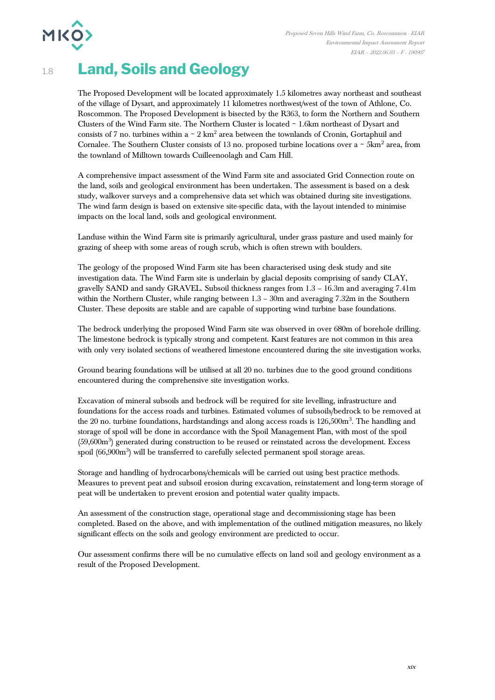

## 1.8 **Land, Soils and Geology**

The Proposed Development will be located approximately 1.5 kilometres away northeast and southeast of the village of Dysart, and approximately 11 kilometres northwest/west of the town of Athlone, Co. Roscommon. The Proposed Development is bisected by the R363, to form the Northern and Southern Clusters of the Wind Farm site. The Northern Cluster is located ~ 1.6km northeast of Dysart and consists of 7 no. turbines within a  $\sim 2 \text{ km}^2$  area between the townlands of Cronin, Gortaphuil and Cornalee. The Southern Cluster consists of 13 no. proposed turbine locations over a  $\sim 5 \text{km}^2$  area, from the townland of Milltown towards Cuilleenoolagh and Cam Hill.

A comprehensive impact assessment of the Wind Farm site and associated Grid Connection route on the land, soils and geological environment has been undertaken. The assessment is based on a desk study, walkover surveys and a comprehensive data set which was obtained during site investigations. The wind farm design is based on extensive site-specific data, with the layout intended to minimise impacts on the local land, soils and geological environment.

Landuse within the Wind Farm site is primarily agricultural, under grass pasture and used mainly for grazing of sheep with some areas of rough scrub, which is often strewn with boulders.

The geology of the proposed Wind Farm site has been characterised using desk study and site investigation data. The Wind Farm site is underlain by glacial deposits comprising of sandy CLAY, gravelly SAND and sandy GRAVEL. Subsoil thickness ranges from 1.3 – 16.3m and averaging 7.41m within the Northern Cluster, while ranging between 1.3 – 30m and averaging 7.32m in the Southern Cluster. These deposits are stable and are capable of supporting wind turbine base foundations.

The bedrock underlying the proposed Wind Farm site was observed in over 680m of borehole drilling. The limestone bedrock is typically strong and competent. Karst features are not common in this area with only very isolated sections of weathered limestone encountered during the site investigation works.

Ground bearing foundations will be utilised at all 20 no. turbines due to the good ground conditions encountered during the comprehensive site investigation works.

Excavation of mineral subsoils and bedrock will be required for site levelling, infrastructure and foundations for the access roads and turbines. Estimated volumes of subsoils/bedrock to be removed at the 20 no. turbine foundations, hardstandings and along access roads is 126,500m<sup>3</sup>. The handling and storage of spoil will be done in accordance with the Spoil Management Plan, with most of the spoil (59,600m<sup>3</sup>) generated during construction to be reused or reinstated across the development. Excess spoil (66,900m<sup>3</sup>) will be transferred to carefully selected permanent spoil storage areas.

Storage and handling of hydrocarbons/chemicals will be carried out using best practice methods. Measures to prevent peat and subsoil erosion during excavation, reinstatement and long-term storage of peat will be undertaken to prevent erosion and potential water quality impacts.

An assessment of the construction stage, operational stage and decommissioning stage has been completed. Based on the above, and with implementation of the outlined mitigation measures, no likely significant effects on the soils and geology environment are predicted to occur.

Our assessment confirms there will be no cumulative effects on land soil and geology environment as a result of the Proposed Development.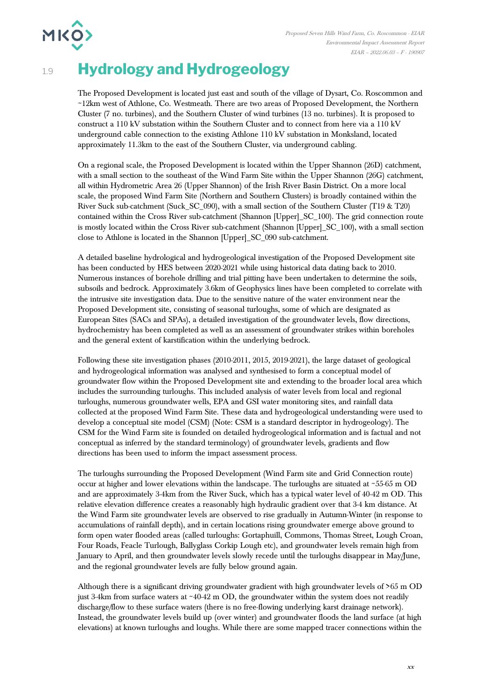# 1.9 **Hydrology and Hydrogeology**

**MKO>** 

The Proposed Development is located just east and south of the village of Dysart, Co. Roscommon and ~12km west of Athlone, Co. Westmeath. There are two areas of Proposed Development, the Northern Cluster (7 no. turbines), and the Southern Cluster of wind turbines (13 no. turbines). It is proposed to construct a 110 kV substation within the Southern Cluster and to connect from here via a 110 kV underground cable connection to the existing Athlone 110 kV substation in Monksland, located approximately 11.3km to the east of the Southern Cluster, via underground cabling.

On a regional scale, the Proposed Development is located within the Upper Shannon (26D) catchment, with a small section to the southeast of the Wind Farm Site within the Upper Shannon (26G) catchment, all within Hydrometric Area 26 (Upper Shannon) of the Irish River Basin District. On a more local scale, the proposed Wind Farm Site (Northern and Southern Clusters) is broadly contained within the River Suck sub-catchment (Suck\_SC\_090), with a small section of the Southern Cluster (T19 & T20) contained within the Cross River sub-catchment (Shannon [Upper]\_SC\_100). The grid connection route is mostly located within the Cross River sub-catchment (Shannon [Upper]\_SC\_100), with a small section close to Athlone is located in the Shannon [Upper]\_SC\_090 sub-catchment.

A detailed baseline hydrological and hydrogeological investigation of the Proposed Development site has been conducted by HES between 2020-2021 while using historical data dating back to 2010. Numerous instances of borehole drilling and trial pitting have been undertaken to determine the soils, subsoils and bedrock. Approximately 3.6km of Geophysics lines have been completed to correlate with the intrusive site investigation data. Due to the sensitive nature of the water environment near the Proposed Development site, consisting of seasonal turloughs, some of which are designated as European Sites (SACs and SPAs), a detailed investigation of the groundwater levels, flow directions, hydrochemistry has been completed as well as an assessment of groundwater strikes within boreholes and the general extent of karstification within the underlying bedrock.

Following these site investigation phases (2010-2011, 2015, 2019-2021), the large dataset of geological and hydrogeological information was analysed and synthesised to form a conceptual model of groundwater flow within the Proposed Development site and extending to the broader local area which includes the surrounding turloughs. This included analysis of water levels from local and regional turloughs, numerous groundwater wells, EPA and GSI water monitoring sites, and rainfall data collected at the proposed Wind Farm Site. These data and hydrogeological understanding were used to develop a conceptual site model (CSM) (Note: CSM is a standard descriptor in hydrogeology). The CSM for the Wind Farm site is founded on detailed hydrogeological information and is factual and not conceptual as inferred by the standard terminology) of groundwater levels, gradients and flow directions has been used to inform the impact assessment process.

The turloughs surrounding the Proposed Development (Wind Farm site and Grid Connection route) occur at higher and lower elevations within the landscape. The turloughs are situated at  $\sim$  55-65 m OD and are approximately 3-4km from the River Suck, which has a typical water level of 40-42 m OD. This relative elevation difference creates a reasonably high hydraulic gradient over that 3-4 km distance. At the Wind Farm site groundwater levels are observed to rise gradually in Autumn-Winter (in response to accumulations of rainfall depth), and in certain locations rising groundwater emerge above ground to form open water flooded areas (called turloughs: Gortaphuill, Commons, Thomas Street, Lough Croan, Four Roads, Feacle Turlough, Ballyglass Corkip Lough etc), and groundwater levels remain high from January to April, and then groundwater levels slowly recede until the turloughs disappear in May/June, and the regional groundwater levels are fully below ground again.

Although there is a significant driving groundwater gradient with high groundwater levels of >65 m OD just 3-4km from surface waters at  $\sim$ 40-42 m OD, the groundwater within the system does not readily discharge/flow to these surface waters (there is no free-flowing underlying karst drainage network). Instead, the groundwater levels build up (over winter) and groundwater floods the land surface (at high elevations) at known turloughs and loughs. While there are some mapped tracer connections within the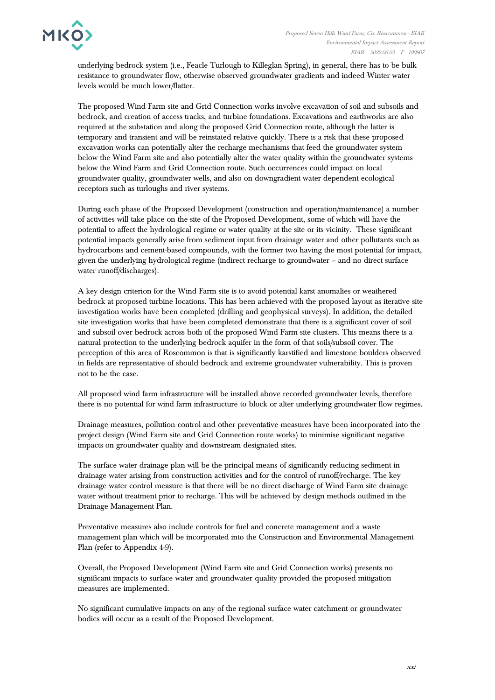

underlying bedrock system (i.e., Feacle Turlough to Killeglan Spring), in general, there has to be bulk resistance to groundwater flow, otherwise observed groundwater gradients and indeed Winter water levels would be much lower/flatter.

The proposed Wind Farm site and Grid Connection works involve excavation of soil and subsoils and bedrock, and creation of access tracks, and turbine foundations. Excavations and earthworks are also required at the substation and along the proposed Grid Connection route, although the latter is temporary and transient and will be reinstated relative quickly. There is a risk that these proposed excavation works can potentially alter the recharge mechanisms that feed the groundwater system below the Wind Farm site and also potentially alter the water quality within the groundwater systems below the Wind Farm and Grid Connection route. Such occurrences could impact on local groundwater quality, groundwater wells, and also on downgradient water dependent ecological receptors such as turloughs and river systems.

During each phase of the Proposed Development (construction and operation/maintenance) a number of activities will take place on the site of the Proposed Development, some of which will have the potential to affect the hydrological regime or water quality at the site or its vicinity. These significant potential impacts generally arise from sediment input from drainage water and other pollutants such as hydrocarbons and cement-based compounds, with the former two having the most potential for impact, given the underlying hydrological regime (indirect recharge to groundwater – and no direct surface water runoff/discharges).

A key design criterion for the Wind Farm site is to avoid potential karst anomalies or weathered bedrock at proposed turbine locations. This has been achieved with the proposed layout as iterative site investigation works have been completed (drilling and geophysical surveys). In addition, the detailed site investigation works that have been completed demonstrate that there is a significant cover of soil and subsoil over bedrock across both of the proposed Wind Farm site clusters. This means there is a natural protection to the underlying bedrock aquifer in the form of that soils/subsoil cover. The perception of this area of Roscommon is that is significantly karstified and limestone boulders observed in fields are representative of should bedrock and extreme groundwater vulnerability. This is proven not to be the case.

All proposed wind farm infrastructure will be installed above recorded groundwater levels, therefore there is no potential for wind farm infrastructure to block or alter underlying groundwater flow regimes.

Drainage measures, pollution control and other preventative measures have been incorporated into the project design (Wind Farm site and Grid Connection route works) to minimise significant negative impacts on groundwater quality and downstream designated sites.

The surface water drainage plan will be the principal means of significantly reducing sediment in drainage water arising from construction activities and for the control of runoff/recharge. The key drainage water control measure is that there will be no direct discharge of Wind Farm site drainage water without treatment prior to recharge. This will be achieved by design methods outlined in the Drainage Management Plan.

Preventative measures also include controls for fuel and concrete management and a waste management plan which will be incorporated into the Construction and Environmental Management Plan (refer to Appendix 4-9).

Overall, the Proposed Development (Wind Farm site and Grid Connection works) presents no significant impacts to surface water and groundwater quality provided the proposed mitigation measures are implemented.

No significant cumulative impacts on any of the regional surface water catchment or groundwater bodies will occur as a result of the Proposed Development.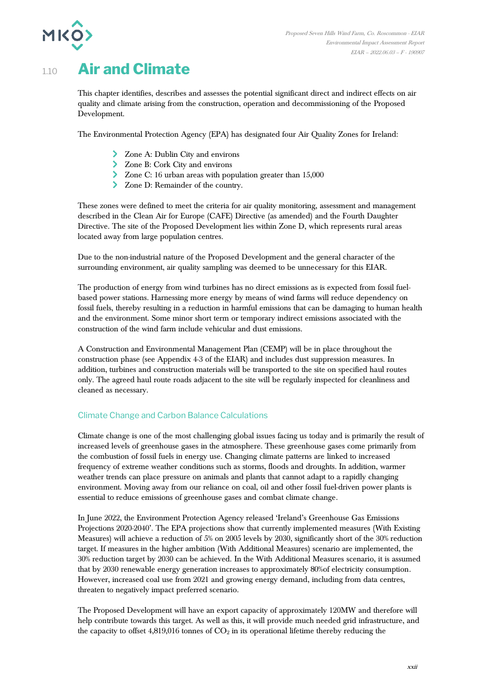

## 1.10 **Air and Climate**

This chapter identifies, describes and assesses the potential significant direct and indirect effects on air quality and climate arising from the construction, operation and decommissioning of the Proposed Development.

The Environmental Protection Agency (EPA) has designated four Air Quality Zones for Ireland:

- > Zone A: Dublin City and environs
- Zone B: Cork City and environs
- Zone C: 16 urban areas with population greater than 15,000
- Zone D: Remainder of the country.

These zones were defined to meet the criteria for air quality monitoring, assessment and management described in the Clean Air for Europe (CAFE) Directive (as amended) and the Fourth Daughter Directive. The site of the Proposed Development lies within Zone D, which represents rural areas located away from large population centres.

Due to the non-industrial nature of the Proposed Development and the general character of the surrounding environment, air quality sampling was deemed to be unnecessary for this EIAR.

The production of energy from wind turbines has no direct emissions as is expected from fossil fuelbased power stations. Harnessing more energy by means of wind farms will reduce dependency on fossil fuels, thereby resulting in a reduction in harmful emissions that can be damaging to human health and the environment. Some minor short term or temporary indirect emissions associated with the construction of the wind farm include vehicular and dust emissions.

A Construction and Environmental Management Plan (CEMP) will be in place throughout the construction phase (see Appendix 4-3 of the EIAR) and includes dust suppression measures. In addition, turbines and construction materials will be transported to the site on specified haul routes only. The agreed haul route roads adjacent to the site will be regularly inspected for cleanliness and cleaned as necessary.

#### Climate Change and Carbon Balance Calculations

Climate change is one of the most challenging global issues facing us today and is primarily the result of increased levels of greenhouse gases in the atmosphere. These greenhouse gases come primarily from the combustion of fossil fuels in energy use. Changing climate patterns are linked to increased frequency of extreme weather conditions such as storms, floods and droughts. In addition, warmer weather trends can place pressure on animals and plants that cannot adapt to a rapidly changing environment. Moving away from our reliance on coal, oil and other fossil fuel-driven power plants is essential to reduce emissions of greenhouse gases and combat climate change.

In June 2022, the Environment Protection Agency released 'Ireland's Greenhouse Gas Emissions Projections 2020-2040'. The EPA projections show that currently implemented measures (With Existing Measures) will achieve a reduction of 5% on 2005 levels by 2030, significantly short of the 30% reduction target. If measures in the higher ambition (With Additional Measures) scenario are implemented, the 30% reduction target by 2030 can be achieved. In the With Additional Measures scenario, it is assumed that by 2030 renewable energy generation increases to approximately 80%of electricity consumption. However, increased coal use from 2021 and growing energy demand, including from data centres, threaten to negatively impact preferred scenario.

The Proposed Development will have an export capacity of approximately 120MW and therefore will help contribute towards this target. As well as this, it will provide much needed grid infrastructure, and the capacity to offset  $4,819,016$  tonnes of  $CO<sub>2</sub>$  in its operational lifetime thereby reducing the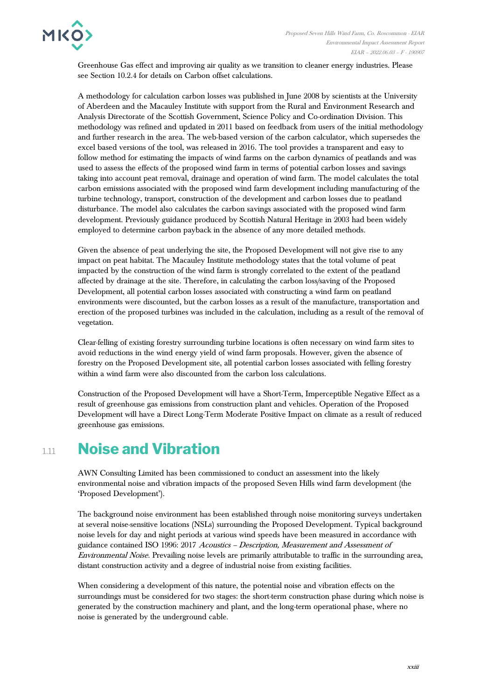

Greenhouse Gas effect and improving air quality as we transition to cleaner energy industries. Please see Section 10.2.4 for details on Carbon offset calculations.

A methodology for calculation carbon losses was published in June 2008 by scientists at the University of Aberdeen and the Macauley Institute with support from the Rural and Environment Research and Analysis Directorate of the Scottish Government, Science Policy and Co-ordination Division. This methodology was refined and updated in 2011 based on feedback from users of the initial methodology and further research in the area. The web-based version of the carbon calculator, which supersedes the excel based versions of the tool, was released in 2016. The tool provides a transparent and easy to follow method for estimating the impacts of wind farms on the carbon dynamics of peatlands and was used to assess the effects of the proposed wind farm in terms of potential carbon losses and savings taking into account peat removal, drainage and operation of wind farm. The model calculates the total carbon emissions associated with the proposed wind farm development including manufacturing of the turbine technology, transport, construction of the development and carbon losses due to peatland disturbance. The model also calculates the carbon savings associated with the proposed wind farm development. Previously guidance produced by Scottish Natural Heritage in 2003 had been widely employed to determine carbon payback in the absence of any more detailed methods.

Given the absence of peat underlying the site, the Proposed Development will not give rise to any impact on peat habitat. The Macauley Institute methodology states that the total volume of peat impacted by the construction of the wind farm is strongly correlated to the extent of the peatland affected by drainage at the site. Therefore, in calculating the carbon loss/saving of the Proposed Development, all potential carbon losses associated with constructing a wind farm on peatland environments were discounted, but the carbon losses as a result of the manufacture, transportation and erection of the proposed turbines was included in the calculation, including as a result of the removal of vegetation.

Clear-felling of existing forestry surrounding turbine locations is often necessary on wind farm sites to avoid reductions in the wind energy yield of wind farm proposals. However, given the absence of forestry on the Proposed Development site, all potential carbon losses associated with felling forestry within a wind farm were also discounted from the carbon loss calculations.

Construction of the Proposed Development will have a Short-Term, Imperceptible Negative Effect as a result of greenhouse gas emissions from construction plant and vehicles. Operation of the Proposed Development will have a Direct Long-Term Moderate Positive Impact on climate as a result of reduced greenhouse gas emissions.

## 1.11 **Noise and Vibration**

AWN Consulting Limited has been commissioned to conduct an assessment into the likely environmental noise and vibration impacts of the proposed Seven Hills wind farm development (the 'Proposed Development').

The background noise environment has been established through noise monitoring surveys undertaken at several noise-sensitive locations (NSLs) surrounding the Proposed Development. Typical background noise levels for day and night periods at various wind speeds have been measured in accordance with guidance contained ISO 1996: 2017 Acoustics – Description, Measurement and Assessment of Environmental Noise. Prevailing noise levels are primarily attributable to traffic in the surrounding area, distant construction activity and a degree of industrial noise from existing facilities.

When considering a development of this nature, the potential noise and vibration effects on the surroundings must be considered for two stages: the short-term construction phase during which noise is generated by the construction machinery and plant, and the long-term operational phase, where no noise is generated by the underground cable.

xxiii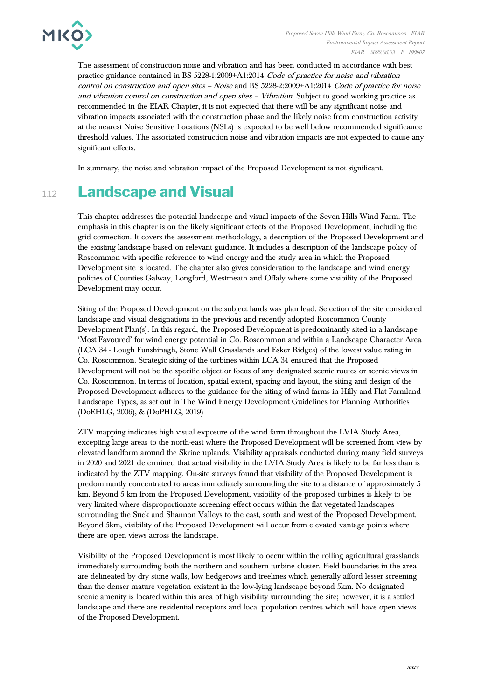

The assessment of construction noise and vibration and has been conducted in accordance with best practice guidance contained in BS 5228-1:2009+A1:2014 Code of practice for noise and vibration control on construction and open sites – Noise and BS 5228-2:2009+A1:2014 Code of practice for noise and vibration control on construction and open sites – Vibration. Subject to good working practice as recommended in the EIAR Chapter, it is not expected that there will be any significant noise and vibration impacts associated with the construction phase and the likely noise from construction activity at the nearest Noise Sensitive Locations (NSLs) is expected to be well below recommended significance threshold values. The associated construction noise and vibration impacts are not expected to cause any significant effects.

In summary, the noise and vibration impact of the Proposed Development is not significant.

## 1.12 **Landscape and Visual**

This chapter addresses the potential landscape and visual impacts of the Seven Hills Wind Farm. The emphasis in this chapter is on the likely significant effects of the Proposed Development, including the grid connection. It covers the assessment methodology, a description of the Proposed Development and the existing landscape based on relevant guidance. It includes a description of the landscape policy of Roscommon with specific reference to wind energy and the study area in which the Proposed Development site is located. The chapter also gives consideration to the landscape and wind energy policies of Counties Galway, Longford, Westmeath and Offaly where some visibility of the Proposed Development may occur.

Siting of the Proposed Development on the subject lands was plan lead. Selection of the site considered landscape and visual designations in the previous and recently adopted Roscommon County Development Plan(s). In this regard, the Proposed Development is predominantly sited in a landscape 'Most Favoured' for wind energy potential in Co. Roscommon and within a Landscape Character Area (LCA 34 - Lough Funshinagh, Stone Wall Grasslands and Esker Ridges) of the lowest value rating in Co. Roscommon. Strategic siting of the turbines within LCA 34 ensured that the Proposed Development will not be the specific object or focus of any designated scenic routes or scenic views in Co. Roscommon. In terms of location, spatial extent, spacing and layout, the siting and design of the Proposed Development adheres to the guidance for the siting of wind farms in Hilly and Flat Farmland Landscape Types, as set out in The Wind Energy Development Guidelines for Planning Authorities (DoEHLG, 2006), & (DoPHLG, 2019)

ZTV mapping indicates high visual exposure of the wind farm throughout the LVIA Study Area, excepting large areas to the north-east where the Proposed Development will be screened from view by elevated landform around the Skrine uplands. Visibility appraisals conducted during many field surveys in 2020 and 2021 determined that actual visibility in the LVIA Study Area is likely to be far less than is indicated by the ZTV mapping. On-site surveys found that visibility of the Proposed Development is predominantly concentrated to areas immediately surrounding the site to a distance of approximately 5 km. Beyond 5 km from the Proposed Development, visibility of the proposed turbines is likely to be very limited where disproportionate screening effect occurs within the flat vegetated landscapes surrounding the Suck and Shannon Valleys to the east, south and west of the Proposed Development. Beyond 5km, visibility of the Proposed Development will occur from elevated vantage points where there are open views across the landscape.

Visibility of the Proposed Development is most likely to occur within the rolling agricultural grasslands immediately surrounding both the northern and southern turbine cluster. Field boundaries in the area are delineated by dry stone walls, low hedgerows and treelines which generally afford lesser screening than the denser mature vegetation existent in the low-lying landscape beyond 5km. No designated scenic amenity is located within this area of high visibility surrounding the site; however, it is a settled landscape and there are residential receptors and local population centres which will have open views of the Proposed Development.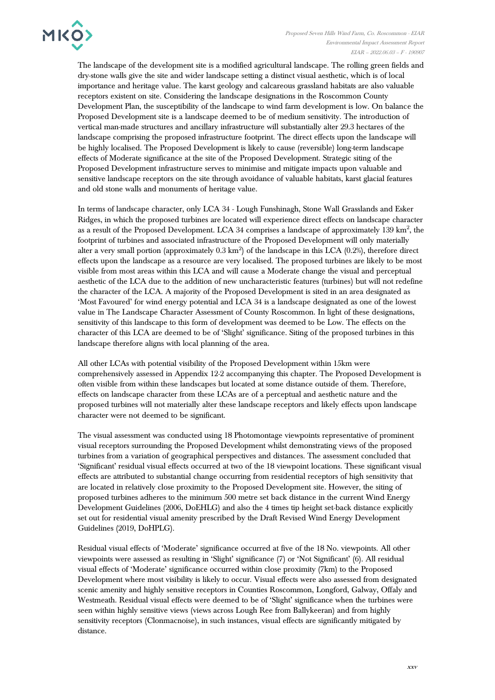

The landscape of the development site is a modified agricultural landscape. The rolling green fields and dry-stone walls give the site and wider landscape setting a distinct visual aesthetic, which is of local importance and heritage value. The karst geology and calcareous grassland habitats are also valuable receptors existent on site. Considering the landscape designations in the Roscommon County Development Plan, the susceptibility of the landscape to wind farm development is low. On balance the Proposed Development site is a landscape deemed to be of medium sensitivity. The introduction of vertical man-made structures and ancillary infrastructure will substantially alter 29.3 hectares of the landscape comprising the proposed infrastructure footprint. The direct effects upon the landscape will be highly localised. The Proposed Development is likely to cause (reversible) long-term landscape effects of Moderate significance at the site of the Proposed Development. Strategic siting of the Proposed Development infrastructure serves to minimise and mitigate impacts upon valuable and sensitive landscape receptors on the site through avoidance of valuable habitats, karst glacial features and old stone walls and monuments of heritage value.

In terms of landscape character, only LCA 34 - Lough Funshinagh, Stone Wall Grasslands and Esker Ridges, in which the proposed turbines are located will experience direct effects on landscape character as a result of the Proposed Development. LCA 34 comprises a landscape of approximately  $139 \text{ km}^2$ , the footprint of turbines and associated infrastructure of the Proposed Development will only materially alter a very small portion (approximately  $0.3 \text{ km}^2$ ) of the landscape in this LCA (0.2%), therefore direct effects upon the landscape as a resource are very localised. The proposed turbines are likely to be most visible from most areas within this LCA and will cause a Moderate change the visual and perceptual aesthetic of the LCA due to the addition of new uncharacteristic features (turbines) but will not redefine the character of the LCA. A majority of the Proposed Development is sited in an area designated as 'Most Favoured' for wind energy potential and LCA 34 is a landscape designated as one of the lowest value in The Landscape Character Assessment of County Roscommon. In light of these designations, sensitivity of this landscape to this form of development was deemed to be Low. The effects on the character of this LCA are deemed to be of 'Slight' significance. Siting of the proposed turbines in this landscape therefore aligns with local planning of the area.

All other LCAs with potential visibility of the Proposed Development within 15km were comprehensively assessed in Appendix 12-2 accompanying this chapter. The Proposed Development is often visible from within these landscapes but located at some distance outside of them. Therefore, effects on landscape character from these LCAs are of a perceptual and aesthetic nature and the proposed turbines will not materially alter these landscape receptors and likely effects upon landscape character were not deemed to be significant.

The visual assessment was conducted using 18 Photomontage viewpoints representative of prominent visual receptors surrounding the Proposed Development whilst demonstrating views of the proposed turbines from a variation of geographical perspectives and distances. The assessment concluded that 'Significant' residual visual effects occurred at two of the 18 viewpoint locations. These significant visual effects are attributed to substantial change occurring from residential receptors of high sensitivity that are located in relatively close proximity to the Proposed Development site. However, the siting of proposed turbines adheres to the minimum 500 metre set back distance in the current Wind Energy Development Guidelines (2006, DoEHLG) and also the 4 times tip height set-back distance explicitly set out for residential visual amenity prescribed by the Draft Revised Wind Energy Development Guidelines (2019, DoHPLG).

Residual visual effects of 'Moderate' significance occurred at five of the 18 No. viewpoints. All other viewpoints were assessed as resulting in 'Slight' significance (7) or 'Not Significant' (6). All residual visual effects of 'Moderate' significance occurred within close proximity (7km) to the Proposed Development where most visibility is likely to occur. Visual effects were also assessed from designated scenic amenity and highly sensitive receptors in Counties Roscommon, Longford, Galway, Offaly and Westmeath. Residual visual effects were deemed to be of 'Slight' significance when the turbines were seen within highly sensitive views (views across Lough Ree from Ballykeeran) and from highly sensitivity receptors (Clonmacnoise), in such instances, visual effects are significantly mitigated by distance.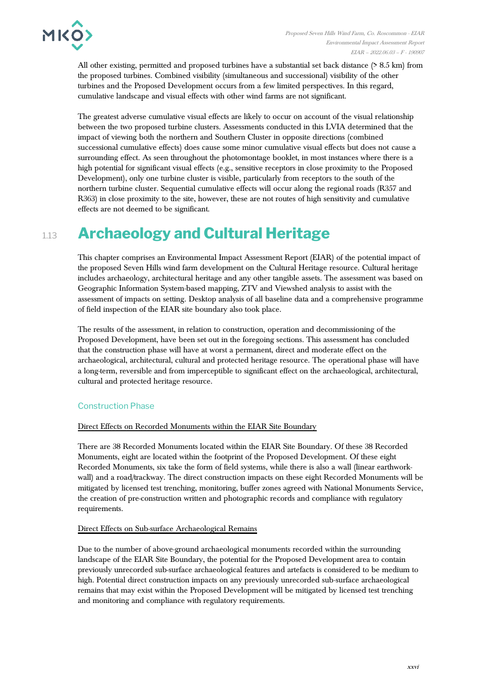

All other existing, permitted and proposed turbines have a substantial set back distance (> 8.5 km) from the proposed turbines. Combined visibility (simultaneous and successional) visibility of the other turbines and the Proposed Development occurs from a few limited perspectives. In this regard, cumulative landscape and visual effects with other wind farms are not significant.

The greatest adverse cumulative visual effects are likely to occur on account of the visual relationship between the two proposed turbine clusters. Assessments conducted in this LVIA determined that the impact of viewing both the northern and Southern Cluster in opposite directions (combined successional cumulative effects) does cause some minor cumulative visual effects but does not cause a surrounding effect. As seen throughout the photomontage booklet, in most instances where there is a high potential for significant visual effects (e.g., sensitive receptors in close proximity to the Proposed Development), only one turbine cluster is visible, particularly from receptors to the south of the northern turbine cluster. Sequential cumulative effects will occur along the regional roads (R357 and R363) in close proximity to the site, however, these are not routes of high sensitivity and cumulative effects are not deemed to be significant.

# 1.13 **Archaeology and Cultural Heritage**

This chapter comprises an Environmental Impact Assessment Report (EIAR) of the potential impact of the proposed Seven Hills wind farm development on the Cultural Heritage resource. Cultural heritage includes archaeology, architectural heritage and any other tangible assets. The assessment was based on Geographic Information System-based mapping, ZTV and Viewshed analysis to assist with the assessment of impacts on setting. Desktop analysis of all baseline data and a comprehensive programme of field inspection of the EIAR site boundary also took place.

The results of the assessment, in relation to construction, operation and decommissioning of the Proposed Development, have been set out in the foregoing sections. This assessment has concluded that the construction phase will have at worst a permanent, direct and moderate effect on the archaeological, architectural, cultural and protected heritage resource. The operational phase will have a long-term, reversible and from imperceptible to significant effect on the archaeological, architectural, cultural and protected heritage resource.

## Construction Phase

## Direct Effects on Recorded Monuments within the EIAR Site Boundary

There are 38 Recorded Monuments located within the EIAR Site Boundary. Of these 38 Recorded Monuments, eight are located within the footprint of the Proposed Development. Of these eight Recorded Monuments, six take the form of field systems, while there is also a wall (linear earthworkwall) and a road/trackway. The direct construction impacts on these eight Recorded Monuments will be mitigated by licensed test trenching, monitoring, buffer zones agreed with National Monuments Service, the creation of pre-construction written and photographic records and compliance with regulatory requirements.

#### Direct Effects on Sub-surface Archaeological Remains

Due to the number of above-ground archaeological monuments recorded within the surrounding landscape of the EIAR Site Boundary, the potential for the Proposed Development area to contain previously unrecorded sub-surface archaeological features and artefacts is considered to be medium to high. Potential direct construction impacts on any previously unrecorded sub-surface archaeological remains that may exist within the Proposed Development will be mitigated by licensed test trenching and monitoring and compliance with regulatory requirements.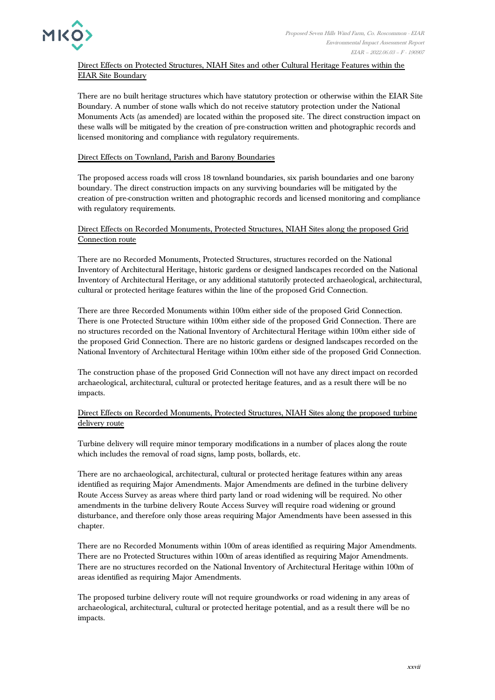

Direct Effects on Protected Structures, NIAH Sites and other Cultural Heritage Features within the EIAR Site Boundary

There are no built heritage structures which have statutory protection or otherwise within the EIAR Site Boundary. A number of stone walls which do not receive statutory protection under the National Monuments Acts (as amended) are located within the proposed site. The direct construction impact on these walls will be mitigated by the creation of pre-construction written and photographic records and licensed monitoring and compliance with regulatory requirements.

#### Direct Effects on Townland, Parish and Barony Boundaries

The proposed access roads will cross 18 townland boundaries, six parish boundaries and one barony boundary. The direct construction impacts on any surviving boundaries will be mitigated by the creation of pre-construction written and photographic records and licensed monitoring and compliance with regulatory requirements.

#### Direct Effects on Recorded Monuments, Protected Structures, NIAH Sites along the proposed Grid Connection route

There are no Recorded Monuments, Protected Structures, structures recorded on the National Inventory of Architectural Heritage, historic gardens or designed landscapes recorded on the National Inventory of Architectural Heritage, or any additional statutorily protected archaeological, architectural, cultural or protected heritage features within the line of the proposed Grid Connection.

There are three Recorded Monuments within 100m either side of the proposed Grid Connection. There is one Protected Structure within 100m either side of the proposed Grid Connection. There are no structures recorded on the National Inventory of Architectural Heritage within 100m either side of the proposed Grid Connection. There are no historic gardens or designed landscapes recorded on the National Inventory of Architectural Heritage within 100m either side of the proposed Grid Connection.

The construction phase of the proposed Grid Connection will not have any direct impact on recorded archaeological, architectural, cultural or protected heritage features, and as a result there will be no impacts.

#### Direct Effects on Recorded Monuments, Protected Structures, NIAH Sites along the proposed turbine delivery route

Turbine delivery will require minor temporary modifications in a number of places along the route which includes the removal of road signs, lamp posts, bollards, etc.

There are no archaeological, architectural, cultural or protected heritage features within any areas identified as requiring Major Amendments. Major Amendments are defined in the turbine delivery Route Access Survey as areas where third party land or road widening will be required. No other amendments in the turbine delivery Route Access Survey will require road widening or ground disturbance, and therefore only those areas requiring Major Amendments have been assessed in this chapter.

There are no Recorded Monuments within 100m of areas identified as requiring Major Amendments. There are no Protected Structures within 100m of areas identified as requiring Major Amendments. There are no structures recorded on the National Inventory of Architectural Heritage within 100m of areas identified as requiring Major Amendments.

The proposed turbine delivery route will not require groundworks or road widening in any areas of archaeological, architectural, cultural or protected heritage potential, and as a result there will be no impacts.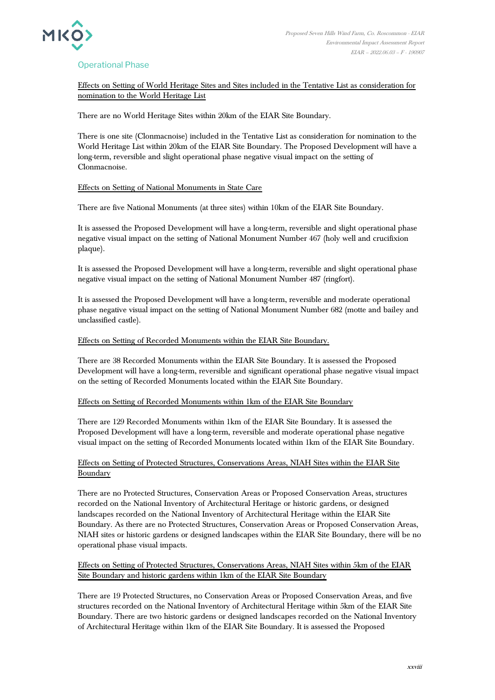

## Operational Phase

Effects on Setting of World Heritage Sites and Sites included in the Tentative List as consideration for nomination to the World Heritage List

There are no World Heritage Sites within 20km of the EIAR Site Boundary.

There is one site (Clonmacnoise) included in the Tentative List as consideration for nomination to the World Heritage List within 20km of the EIAR Site Boundary. The Proposed Development will have a long-term, reversible and slight operational phase negative visual impact on the setting of Clonmacnoise.

#### Effects on Setting of National Monuments in State Care

There are five National Monuments (at three sites) within 10km of the EIAR Site Boundary.

It is assessed the Proposed Development will have a long-term, reversible and slight operational phase negative visual impact on the setting of National Monument Number 467 (holy well and crucifixion plaque).

It is assessed the Proposed Development will have a long-term, reversible and slight operational phase negative visual impact on the setting of National Monument Number 487 (ringfort).

It is assessed the Proposed Development will have a long-term, reversible and moderate operational phase negative visual impact on the setting of National Monument Number 682 (motte and bailey and unclassified castle).

#### Effects on Setting of Recorded Monuments within the EIAR Site Boundary.

There are 38 Recorded Monuments within the EIAR Site Boundary. It is assessed the Proposed Development will have a long-term, reversible and significant operational phase negative visual impact on the setting of Recorded Monuments located within the EIAR Site Boundary.

#### Effects on Setting of Recorded Monuments within 1km of the EIAR Site Boundary

There are 129 Recorded Monuments within 1km of the EIAR Site Boundary. It is assessed the Proposed Development will have a long-term, reversible and moderate operational phase negative visual impact on the setting of Recorded Monuments located within 1km of the EIAR Site Boundary.

## Effects on Setting of Protected Structures, Conservations Areas, NIAH Sites within the EIAR Site Boundary

There are no Protected Structures, Conservation Areas or Proposed Conservation Areas, structures recorded on the National Inventory of Architectural Heritage or historic gardens, or designed landscapes recorded on the National Inventory of Architectural Heritage within the EIAR Site Boundary. As there are no Protected Structures, Conservation Areas or Proposed Conservation Areas, NIAH sites or historic gardens or designed landscapes within the EIAR Site Boundary, there will be no operational phase visual impacts.

#### Effects on Setting of Protected Structures, Conservations Areas, NIAH Sites within 5km of the EIAR Site Boundary and historic gardens within 1km of the EIAR Site Boundary

There are 19 Protected Structures, no Conservation Areas or Proposed Conservation Areas, and five structures recorded on the National Inventory of Architectural Heritage within 5km of the EIAR Site Boundary. There are two historic gardens or designed landscapes recorded on the National Inventory of Architectural Heritage within 1km of the EIAR Site Boundary. It is assessed the Proposed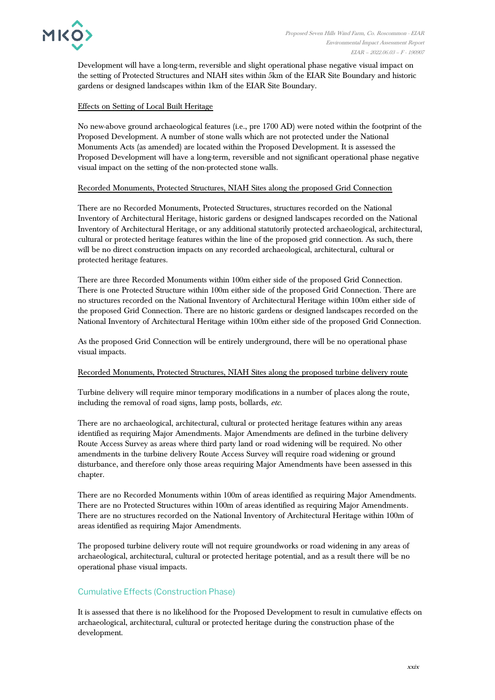

Development will have a long-term, reversible and slight operational phase negative visual impact on the setting of Protected Structures and NIAH sites within 5km of the EIAR Site Boundary and historic gardens or designed landscapes within 1km of the EIAR Site Boundary.

#### Effects on Setting of Local Built Heritage

No new-above ground archaeological features (i.e., pre 1700 AD) were noted within the footprint of the Proposed Development. A number of stone walls which are not protected under the National Monuments Acts (as amended) are located within the Proposed Development. It is assessed the Proposed Development will have a long-term, reversible and not significant operational phase negative visual impact on the setting of the non-protected stone walls.

#### Recorded Monuments, Protected Structures, NIAH Sites along the proposed Grid Connection

There are no Recorded Monuments, Protected Structures, structures recorded on the National Inventory of Architectural Heritage, historic gardens or designed landscapes recorded on the National Inventory of Architectural Heritage, or any additional statutorily protected archaeological, architectural, cultural or protected heritage features within the line of the proposed grid connection. As such, there will be no direct construction impacts on any recorded archaeological, architectural, cultural or protected heritage features.

There are three Recorded Monuments within 100m either side of the proposed Grid Connection. There is one Protected Structure within 100m either side of the proposed Grid Connection. There are no structures recorded on the National Inventory of Architectural Heritage within 100m either side of the proposed Grid Connection. There are no historic gardens or designed landscapes recorded on the National Inventory of Architectural Heritage within 100m either side of the proposed Grid Connection.

As the proposed Grid Connection will be entirely underground, there will be no operational phase visual impacts.

#### Recorded Monuments, Protected Structures, NIAH Sites along the proposed turbine delivery route

Turbine delivery will require minor temporary modifications in a number of places along the route, including the removal of road signs, lamp posts, bollards, etc.

There are no archaeological, architectural, cultural or protected heritage features within any areas identified as requiring Major Amendments. Major Amendments are defined in the turbine delivery Route Access Survey as areas where third party land or road widening will be required. No other amendments in the turbine delivery Route Access Survey will require road widening or ground disturbance, and therefore only those areas requiring Major Amendments have been assessed in this chapter.

There are no Recorded Monuments within 100m of areas identified as requiring Major Amendments. There are no Protected Structures within 100m of areas identified as requiring Major Amendments. There are no structures recorded on the National Inventory of Architectural Heritage within 100m of areas identified as requiring Major Amendments.

The proposed turbine delivery route will not require groundworks or road widening in any areas of archaeological, architectural, cultural or protected heritage potential, and as a result there will be no operational phase visual impacts.

## Cumulative Effects (Construction Phase)

It is assessed that there is no likelihood for the Proposed Development to result in cumulative effects on archaeological, architectural, cultural or protected heritage during the construction phase of the development.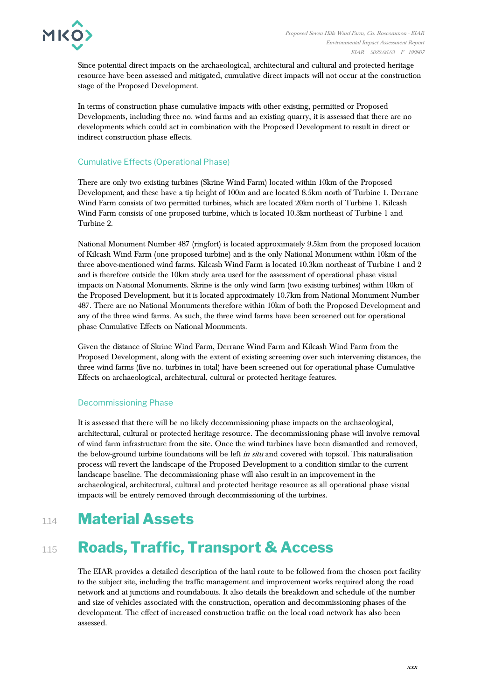

Since potential direct impacts on the archaeological, architectural and cultural and protected heritage resource have been assessed and mitigated, cumulative direct impacts will not occur at the construction stage of the Proposed Development.

In terms of construction phase cumulative impacts with other existing, permitted or Proposed Developments, including three no. wind farms and an existing quarry, it is assessed that there are no developments which could act in combination with the Proposed Development to result in direct or indirect construction phase effects.

## Cumulative Effects (Operational Phase)

There are only two existing turbines (Skrine Wind Farm) located within 10km of the Proposed Development, and these have a tip height of 100m and are located 8.5km north of Turbine 1. Derrane Wind Farm consists of two permitted turbines, which are located 20km north of Turbine 1. Kilcash Wind Farm consists of one proposed turbine, which is located 10.3km northeast of Turbine 1 and Turbine 2.

National Monument Number 487 (ringfort) is located approximately 9.5km from the proposed location of Kilcash Wind Farm (one proposed turbine) and is the only National Monument within 10km of the three above-mentioned wind farms. Kilcash Wind Farm is located 10.3km northeast of Turbine 1 and 2 and is therefore outside the 10km study area used for the assessment of operational phase visual impacts on National Monuments. Skrine is the only wind farm (two existing turbines) within 10km of the Proposed Development, but it is located approximately 10.7km from National Monument Number 487. There are no National Monuments therefore within 10km of both the Proposed Development and any of the three wind farms. As such, the three wind farms have been screened out for operational phase Cumulative Effects on National Monuments.

Given the distance of Skrine Wind Farm, Derrane Wind Farm and Kilcash Wind Farm from the Proposed Development, along with the extent of existing screening over such intervening distances, the three wind farms (five no. turbines in total) have been screened out for operational phase Cumulative Effects on archaeological, architectural, cultural or protected heritage features.

## Decommissioning Phase

It is assessed that there will be no likely decommissioning phase impacts on the archaeological, architectural, cultural or protected heritage resource. The decommissioning phase will involve removal of wind farm infrastructure from the site. Once the wind turbines have been dismantled and removed, the below-ground turbine foundations will be left *in situ* and covered with topsoil. This naturalisation process will revert the landscape of the Proposed Development to a condition similar to the current landscape baseline. The decommissioning phase will also result in an improvement in the archaeological, architectural, cultural and protected heritage resource as all operational phase visual impacts will be entirely removed through decommissioning of the turbines.

## 1.14 **Material Assets**

## 1.15 **Roads, Traffic, Transport & Access**

The EIAR provides a detailed description of the haul route to be followed from the chosen port facility to the subject site, including the traffic management and improvement works required along the road network and at junctions and roundabouts. It also details the breakdown and schedule of the number and size of vehicles associated with the construction, operation and decommissioning phases of the development. The effect of increased construction traffic on the local road network has also been assessed.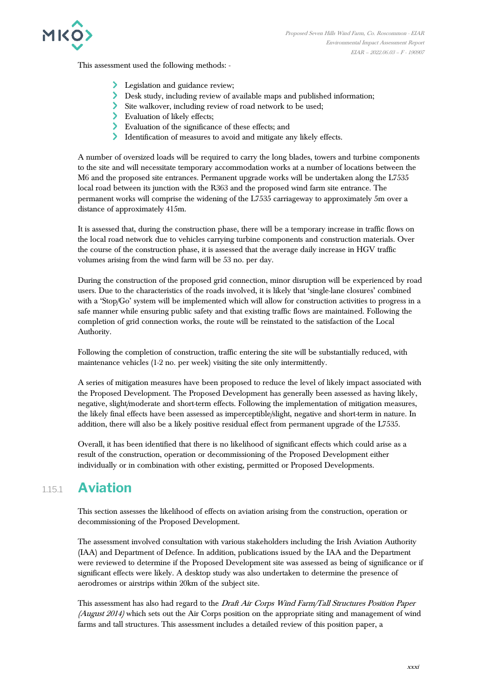

This assessment used the following methods: -

- **Legislation and guidance review;**
- Desk study, including review of available maps and published information;
- Site walkover, including review of road network to be used;
- > Evaluation of likely effects;
- Evaluation of the significance of these effects; and
- Identification of measures to avoid and mitigate any likely effects.

A number of oversized loads will be required to carry the long blades, towers and turbine components to the site and will necessitate temporary accommodation works at a number of locations between the M6 and the proposed site entrances. Permanent upgrade works will be undertaken along the L7535 local road between its junction with the R363 and the proposed wind farm site entrance. The permanent works will comprise the widening of the L7535 carriageway to approximately 5m over a distance of approximately 415m.

It is assessed that, during the construction phase, there will be a temporary increase in traffic flows on the local road network due to vehicles carrying turbine components and construction materials. Over the course of the construction phase, it is assessed that the average daily increase in HGV traffic volumes arising from the wind farm will be 53 no. per day.

During the construction of the proposed grid connection, minor disruption will be experienced by road users. Due to the characteristics of the roads involved, it is likely that 'single-lane closures' combined with a 'Stop/Go' system will be implemented which will allow for construction activities to progress in a safe manner while ensuring public safety and that existing traffic flows are maintained. Following the completion of grid connection works, the route will be reinstated to the satisfaction of the Local Authority.

Following the completion of construction, traffic entering the site will be substantially reduced, with maintenance vehicles (1-2 no. per week) visiting the site only intermittently.

A series of mitigation measures have been proposed to reduce the level of likely impact associated with the Proposed Development. The Proposed Development has generally been assessed as having likely, negative, slight/moderate and short-term effects. Following the implementation of mitigation measures, the likely final effects have been assessed as imperceptible/slight, negative and short-term in nature. In addition, there will also be a likely positive residual effect from permanent upgrade of the L7535.

Overall, it has been identified that there is no likelihood of significant effects which could arise as a result of the construction, operation or decommissioning of the Proposed Development either individually or in combination with other existing, permitted or Proposed Developments.

## 1.15.1 **Aviation**

This section assesses the likelihood of effects on aviation arising from the construction, operation or decommissioning of the Proposed Development.

The assessment involved consultation with various stakeholders including the Irish Aviation Authority (IAA) and Department of Defence. In addition, publications issued by the IAA and the Department were reviewed to determine if the Proposed Development site was assessed as being of significance or if significant effects were likely. A desktop study was also undertaken to determine the presence of aerodromes or airstrips within 20km of the subject site.

This assessment has also had regard to the Draft Air Corps Wind Farm/Tall Structures Position Paper (August 2014) which sets out the Air Corps position on the appropriate siting and management of wind farms and tall structures. This assessment includes a detailed review of this position paper, a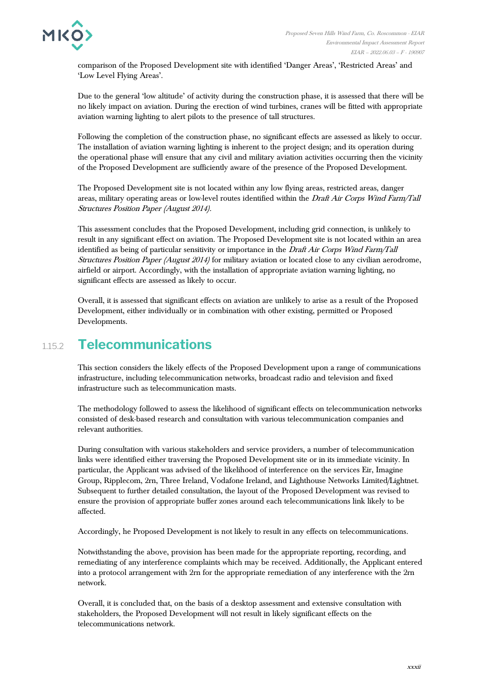

comparison of the Proposed Development site with identified 'Danger Areas', 'Restricted Areas' and 'Low Level Flying Areas'.

Due to the general 'low altitude' of activity during the construction phase, it is assessed that there will be no likely impact on aviation. During the erection of wind turbines, cranes will be fitted with appropriate aviation warning lighting to alert pilots to the presence of tall structures.

Following the completion of the construction phase, no significant effects are assessed as likely to occur. The installation of aviation warning lighting is inherent to the project design; and its operation during the operational phase will ensure that any civil and military aviation activities occurring then the vicinity of the Proposed Development are sufficiently aware of the presence of the Proposed Development.

The Proposed Development site is not located within any low flying areas, restricted areas, danger areas, military operating areas or low-level routes identified within the Draft Air Corps Wind Farm/Tall Structures Position Paper (August 2014).

This assessment concludes that the Proposed Development, including grid connection, is unlikely to result in any significant effect on aviation. The Proposed Development site is not located within an area identified as being of particular sensitivity or importance in the Draft Air Corps Wind Farm/Tall Structures Position Paper (August 2014) for military aviation or located close to any civilian aerodrome, airfield or airport. Accordingly, with the installation of appropriate aviation warning lighting, no significant effects are assessed as likely to occur.

Overall, it is assessed that significant effects on aviation are unlikely to arise as a result of the Proposed Development, either individually or in combination with other existing, permitted or Proposed Developments.

## 1.15.2 **Telecommunications**

This section considers the likely effects of the Proposed Development upon a range of communications infrastructure, including telecommunication networks, broadcast radio and television and fixed infrastructure such as telecommunication masts.

The methodology followed to assess the likelihood of significant effects on telecommunication networks consisted of desk-based research and consultation with various telecommunication companies and relevant authorities.

During consultation with various stakeholders and service providers, a number of telecommunication links were identified either traversing the Proposed Development site or in its immediate vicinity. In particular, the Applicant was advised of the likelihood of interference on the services Eir, Imagine Group, Ripplecom, 2rn, Three Ireland, Vodafone Ireland, and Lighthouse Networks Limited/Lightnet. Subsequent to further detailed consultation, the layout of the Proposed Development was revised to ensure the provision of appropriate buffer zones around each telecommunications link likely to be affected.

Accordingly, he Proposed Development is not likely to result in any effects on telecommunications.

Notwithstanding the above, provision has been made for the appropriate reporting, recording, and remediating of any interference complaints which may be received. Additionally, the Applicant entered into a protocol arrangement with 2rn for the appropriate remediation of any interference with the 2rn network.

Overall, it is concluded that, on the basis of a desktop assessment and extensive consultation with stakeholders, the Proposed Development will not result in likely significant effects on the telecommunications network.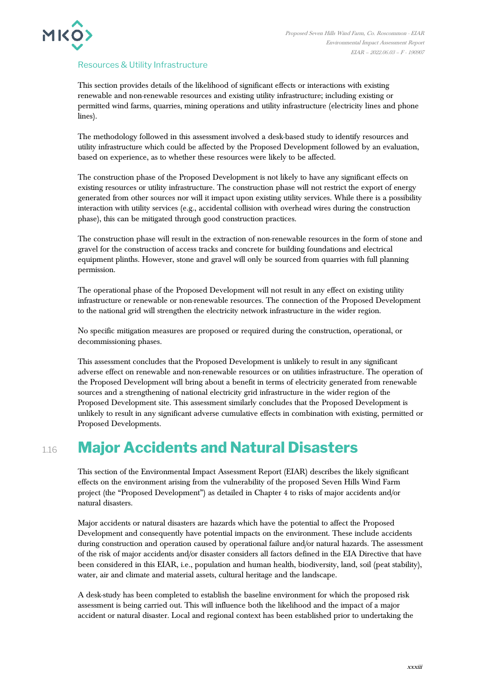

#### Resources & Utility Infrastructure

This section provides details of the likelihood of significant effects or interactions with existing renewable and non-renewable resources and existing utility infrastructure; including existing or permitted wind farms, quarries, mining operations and utility infrastructure (electricity lines and phone lines).

The methodology followed in this assessment involved a desk-based study to identify resources and utility infrastructure which could be affected by the Proposed Development followed by an evaluation, based on experience, as to whether these resources were likely to be affected.

The construction phase of the Proposed Development is not likely to have any significant effects on existing resources or utility infrastructure. The construction phase will not restrict the export of energy generated from other sources nor will it impact upon existing utility services. While there is a possibility interaction with utility services (e.g., accidental collision with overhead wires during the construction phase), this can be mitigated through good construction practices.

The construction phase will result in the extraction of non-renewable resources in the form of stone and gravel for the construction of access tracks and concrete for building foundations and electrical equipment plinths. However, stone and gravel will only be sourced from quarries with full planning permission.

The operational phase of the Proposed Development will not result in any effect on existing utility infrastructure or renewable or non-renewable resources. The connection of the Proposed Development to the national grid will strengthen the electricity network infrastructure in the wider region.

No specific mitigation measures are proposed or required during the construction, operational, or decommissioning phases.

This assessment concludes that the Proposed Development is unlikely to result in any significant adverse effect on renewable and non-renewable resources or on utilities infrastructure. The operation of the Proposed Development will bring about a benefit in terms of electricity generated from renewable sources and a strengthening of national electricity grid infrastructure in the wider region of the Proposed Development site. This assessment similarly concludes that the Proposed Development is unlikely to result in any significant adverse cumulative effects in combination with existing, permitted or Proposed Developments.

## 1.16 **Major Accidents and Natural Disasters**

This section of the Environmental Impact Assessment Report (EIAR) describes the likely significant effects on the environment arising from the vulnerability of the proposed Seven Hills Wind Farm project (the "Proposed Development") as detailed in Chapter 4 to risks of major accidents and/or natural disasters.

Major accidents or natural disasters are hazards which have the potential to affect the Proposed Development and consequently have potential impacts on the environment. These include accidents during construction and operation caused by operational failure and/or natural hazards. The assessment of the risk of major accidents and/or disaster considers all factors defined in the EIA Directive that have been considered in this EIAR, i.e., population and human health, biodiversity, land, soil (peat stability), water, air and climate and material assets, cultural heritage and the landscape.

A desk-study has been completed to establish the baseline environment for which the proposed risk assessment is being carried out. This will influence both the likelihood and the impact of a major accident or natural disaster. Local and regional context has been established prior to undertaking the